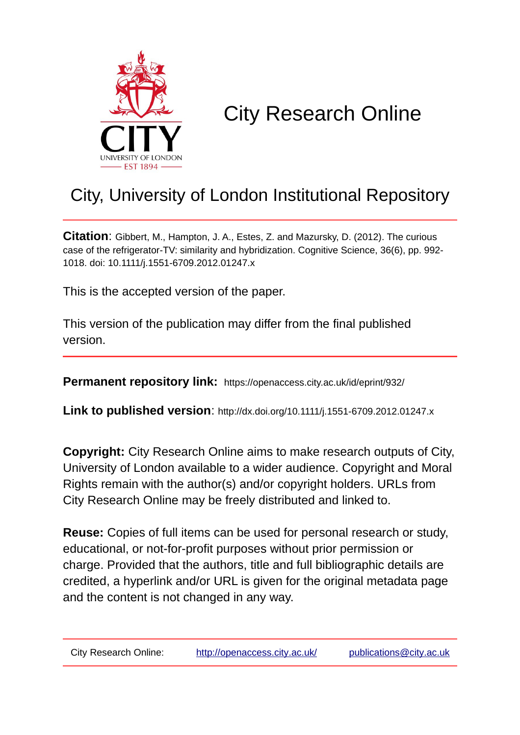

# City Research Online

## City, University of London Institutional Repository

**Citation**: Gibbert, M., Hampton, J. A., Estes, Z. and Mazursky, D. (2012). The curious case of the refrigerator-TV: similarity and hybridization. Cognitive Science, 36(6), pp. 992- 1018. doi: 10.1111/j.1551-6709.2012.01247.x

This is the accepted version of the paper.

This version of the publication may differ from the final published version.

**Permanent repository link:** https://openaccess.city.ac.uk/id/eprint/932/

**Link to published version**: http://dx.doi.org/10.1111/j.1551-6709.2012.01247.x

**Copyright:** City Research Online aims to make research outputs of City, University of London available to a wider audience. Copyright and Moral Rights remain with the author(s) and/or copyright holders. URLs from City Research Online may be freely distributed and linked to.

**Reuse:** Copies of full items can be used for personal research or study, educational, or not-for-profit purposes without prior permission or charge. Provided that the authors, title and full bibliographic details are credited, a hyperlink and/or URL is given for the original metadata page and the content is not changed in any way.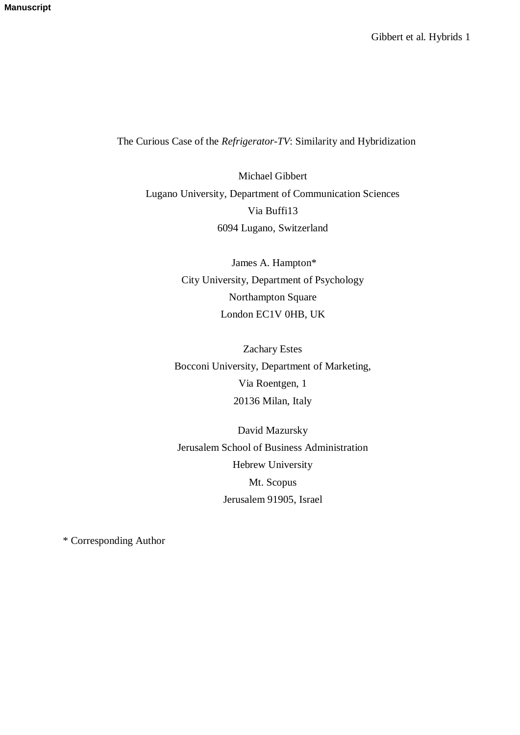## The Curious Case of the *Refrigerator-TV*: Similarity and Hybridization

Michael Gibbert Lugano University, Department of Communication Sciences Via Buffi13 6094 Lugano, Switzerland

> James A. Hampton\* City University, Department of Psychology Northampton Square London EC1V 0HB, UK

Zachary Estes Bocconi University, Department of Marketing, Via Roentgen, 1 20136 Milan, Italy

David Mazursky Jerusalem School of Business Administration Hebrew University Mt. Scopus Jerusalem 91905, Israel

\* Corresponding Author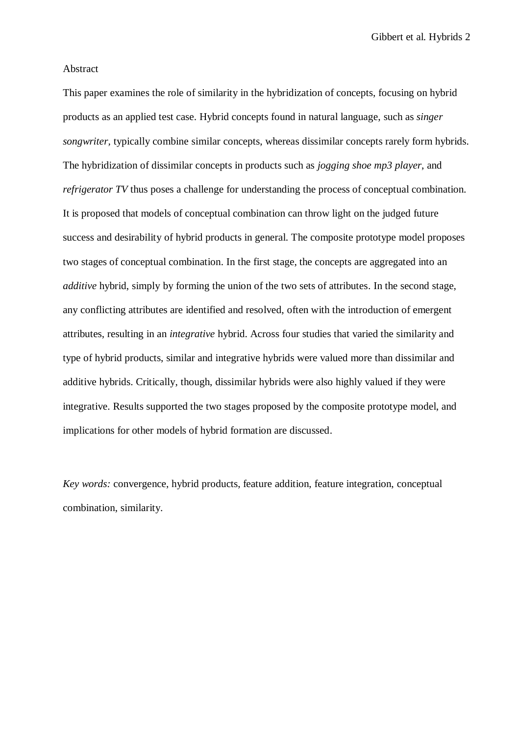Gibbert et al. Hybrids 2

#### Abstract

This paper examines the role of similarity in the hybridization of concepts, focusing on hybrid products as an applied test case. Hybrid concepts found in natural language, such as *singer songwriter,* typically combine similar concepts, whereas dissimilar concepts rarely form hybrids. The hybridization of dissimilar concepts in products such as *jogging shoe mp3 player*, and *refrigerator TV* thus poses a challenge for understanding the process of conceptual combination. It is proposed that models of conceptual combination can throw light on the judged future success and desirability of hybrid products in general. The composite prototype model proposes two stages of conceptual combination. In the first stage, the concepts are aggregated into an *additive* hybrid, simply by forming the union of the two sets of attributes. In the second stage, any conflicting attributes are identified and resolved, often with the introduction of emergent attributes, resulting in an *integrative* hybrid. Across four studies that varied the similarity and type of hybrid products, similar and integrative hybrids were valued more than dissimilar and additive hybrids. Critically, though, dissimilar hybrids were also highly valued if they were integrative. Results supported the two stages proposed by the composite prototype model, and implications for other models of hybrid formation are discussed.

*Key words:* convergence, hybrid products, feature addition, feature integration, conceptual combination, similarity.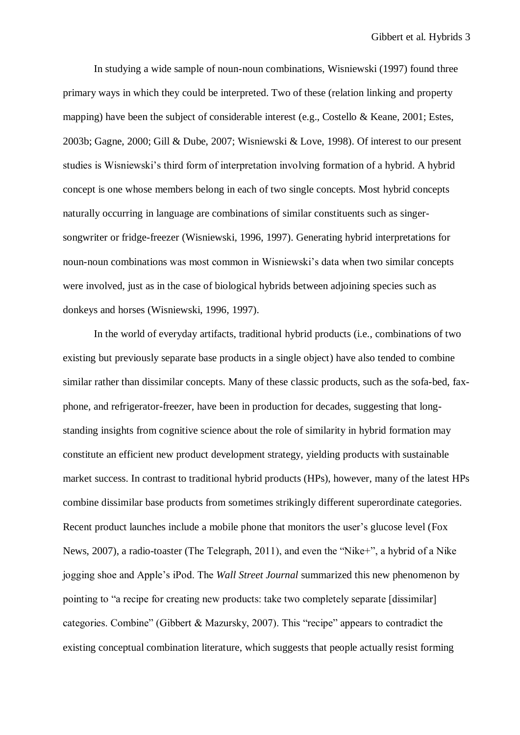In studying a wide sample of noun-noun combinations, Wisniewski (1997) found three primary ways in which they could be interpreted. Two of these (relation linking and property mapping) have been the subject of considerable interest (e.g., Costello & Keane, 2001; Estes, 2003b; Gagne, 2000; Gill & Dube, 2007; Wisniewski & Love, 1998). Of interest to our present studies is Wisniewski's third form of interpretation involving formation of a hybrid. A hybrid concept is one whose members belong in each of two single concepts. Most hybrid concepts naturally occurring in language are combinations of similar constituents such as singersongwriter or fridge-freezer (Wisniewski, 1996, 1997). Generating hybrid interpretations for noun-noun combinations was most common in Wisniewski's data when two similar concepts were involved, just as in the case of biological hybrids between adjoining species such as donkeys and horses (Wisniewski, 1996, 1997).

In the world of everyday artifacts, traditional hybrid products (i.e., combinations of two existing but previously separate base products in a single object) have also tended to combine similar rather than dissimilar concepts. Many of these classic products, such as the sofa-bed, faxphone, and refrigerator-freezer, have been in production for decades, suggesting that longstanding insights from cognitive science about the role of similarity in hybrid formation may constitute an efficient new product development strategy, yielding products with sustainable market success. In contrast to traditional hybrid products (HPs), however, many of the latest HPs combine dissimilar base products from sometimes strikingly different superordinate categories. Recent product launches include a mobile phone that monitors the user's glucose level (Fox News, 2007), a radio-toaster (The Telegraph, 2011), and even the "Nike+", a hybrid of a Nike jogging shoe and Apple's iPod. The *Wall Street Journal* summarized this new phenomenon by pointing to "a recipe for creating new products: take two completely separate [dissimilar] categories. Combine" (Gibbert & Mazursky, 2007). This "recipe" appears to contradict the existing conceptual combination literature, which suggests that people actually resist forming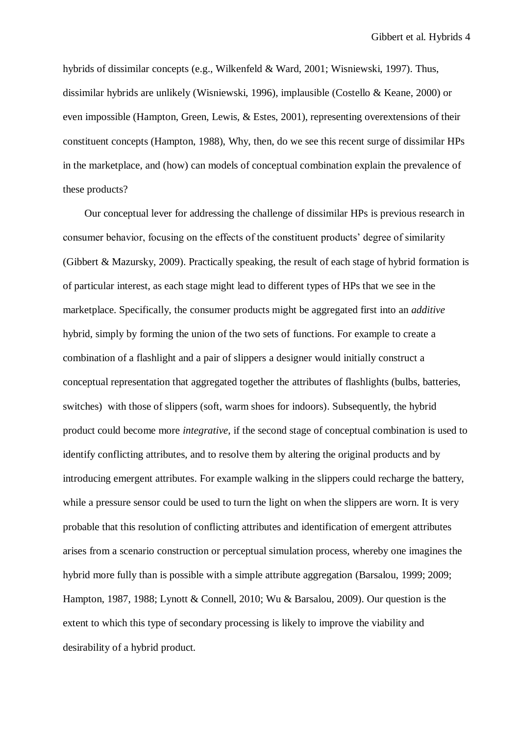hybrids of dissimilar concepts (e.g., Wilkenfeld & Ward, 2001; Wisniewski, 1997). Thus, dissimilar hybrids are unlikely (Wisniewski, 1996), implausible (Costello & Keane, 2000) or even impossible (Hampton, Green, Lewis, & Estes, 2001), representing overextensions of their constituent concepts (Hampton, 1988), Why, then, do we see this recent surge of dissimilar HPs in the marketplace, and (how) can models of conceptual combination explain the prevalence of these products?

Our conceptual lever for addressing the challenge of dissimilar HPs is previous research in consumer behavior, focusing on the effects of the constituent products' degree of similarity (Gibbert & Mazursky, 2009). Practically speaking, the result of each stage of hybrid formation is of particular interest, as each stage might lead to different types of HPs that we see in the marketplace. Specifically, the consumer products might be aggregated first into an *additive*  hybrid, simply by forming the union of the two sets of functions. For example to create a combination of a flashlight and a pair of slippers a designer would initially construct a conceptual representation that aggregated together the attributes of flashlights (bulbs, batteries, switches) with those of slippers (soft, warm shoes for indoors). Subsequently, the hybrid product could become more *integrative*, if the second stage of conceptual combination is used to identify conflicting attributes, and to resolve them by altering the original products and by introducing emergent attributes. For example walking in the slippers could recharge the battery, while a pressure sensor could be used to turn the light on when the slippers are worn. It is very probable that this resolution of conflicting attributes and identification of emergent attributes arises from a scenario construction or perceptual simulation process, whereby one imagines the hybrid more fully than is possible with a simple attribute aggregation (Barsalou, 1999; 2009; Hampton, 1987, 1988; Lynott & Connell, 2010; Wu & Barsalou, 2009). Our question is the extent to which this type of secondary processing is likely to improve the viability and desirability of a hybrid product.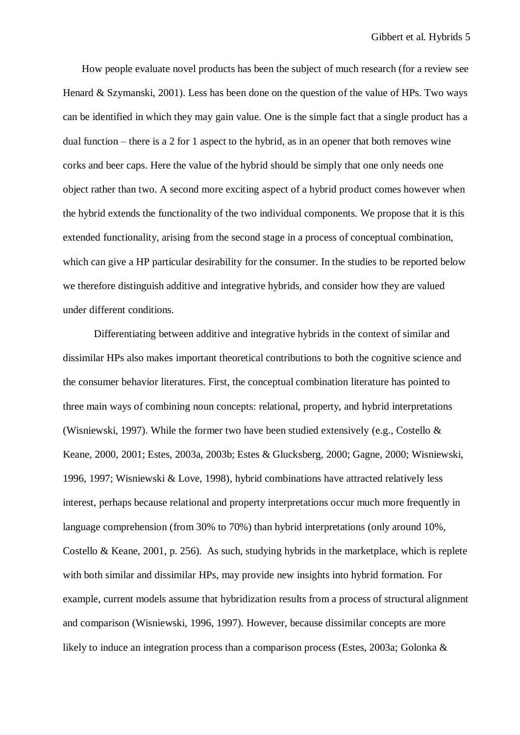How people evaluate novel products has been the subject of much research (for a review see Henard & Szymanski, 2001). Less has been done on the question of the value of HPs. Two ways can be identified in which they may gain value. One is the simple fact that a single product has a dual function – there is a 2 for 1 aspect to the hybrid, as in an opener that both removes wine corks and beer caps. Here the value of the hybrid should be simply that one only needs one object rather than two. A second more exciting aspect of a hybrid product comes however when the hybrid extends the functionality of the two individual components. We propose that it is this extended functionality, arising from the second stage in a process of conceptual combination, which can give a HP particular desirability for the consumer. In the studies to be reported below we therefore distinguish additive and integrative hybrids, and consider how they are valued under different conditions.

Differentiating between additive and integrative hybrids in the context of similar and dissimilar HPs also makes important theoretical contributions to both the cognitive science and the consumer behavior literatures. First, the conceptual combination literature has pointed to three main ways of combining noun concepts: relational, property, and hybrid interpretations (Wisniewski, 1997). While the former two have been studied extensively (e.g., Costello & Keane, 2000, 2001; Estes, 2003a, 2003b; Estes & Glucksberg, 2000; Gagne, 2000; Wisniewski, 1996, 1997; Wisniewski & Love, 1998), hybrid combinations have attracted relatively less interest, perhaps because relational and property interpretations occur much more frequently in language comprehension (from 30% to 70%) than hybrid interpretations (only around 10%, Costello & Keane, 2001, p. 256). As such, studying hybrids in the marketplace, which is replete with both similar and dissimilar HPs, may provide new insights into hybrid formation. For example, current models assume that hybridization results from a process of structural alignment and comparison (Wisniewski, 1996, 1997). However, because dissimilar concepts are more likely to induce an integration process than a comparison process (Estes, 2003a; Golonka &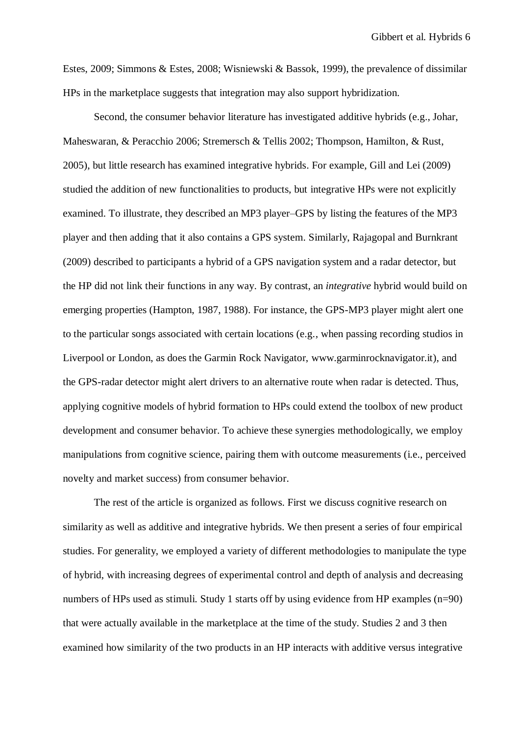Gibbert et al. Hybrids 6

Estes, 2009; Simmons & Estes, 2008; Wisniewski & Bassok, 1999), the prevalence of dissimilar HPs in the marketplace suggests that integration may also support hybridization.

Second, the consumer behavior literature has investigated additive hybrids (e.g., Johar, Maheswaran, & Peracchio 2006; Stremersch & Tellis 2002; Thompson, Hamilton, & Rust, 2005), but little research has examined integrative hybrids. For example, Gill and Lei (2009) studied the addition of new functionalities to products, but integrative HPs were not explicitly examined. To illustrate, they described an MP3 player–GPS by listing the features of the MP3 player and then adding that it also contains a GPS system. Similarly, Rajagopal and Burnkrant (2009) described to participants a hybrid of a GPS navigation system and a radar detector, but the HP did not link their functions in any way. By contrast, an *integrative* hybrid would build on emerging properties (Hampton, 1987, 1988). For instance, the GPS-MP3 player might alert one to the particular songs associated with certain locations (e.g., when passing recording studios in Liverpool or London, as does the Garmin Rock Navigator, www.garminrocknavigator.it), and the GPS-radar detector might alert drivers to an alternative route when radar is detected. Thus, applying cognitive models of hybrid formation to HPs could extend the toolbox of new product development and consumer behavior. To achieve these synergies methodologically, we employ manipulations from cognitive science, pairing them with outcome measurements (i.e., perceived novelty and market success) from consumer behavior.

The rest of the article is organized as follows. First we discuss cognitive research on similarity as well as additive and integrative hybrids. We then present a series of four empirical studies. For generality, we employed a variety of different methodologies to manipulate the type of hybrid, with increasing degrees of experimental control and depth of analysis and decreasing numbers of HPs used as stimuli. Study 1 starts off by using evidence from HP examples (n=90) that were actually available in the marketplace at the time of the study. Studies 2 and 3 then examined how similarity of the two products in an HP interacts with additive versus integrative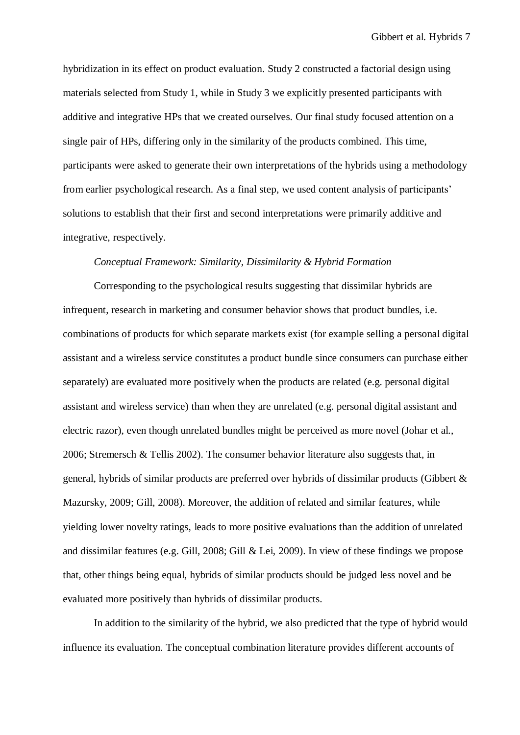hybridization in its effect on product evaluation. Study 2 constructed a factorial design using materials selected from Study 1, while in Study 3 we explicitly presented participants with additive and integrative HPs that we created ourselves. Our final study focused attention on a single pair of HPs, differing only in the similarity of the products combined. This time, participants were asked to generate their own interpretations of the hybrids using a methodology from earlier psychological research. As a final step, we used content analysis of participants' solutions to establish that their first and second interpretations were primarily additive and integrative, respectively.

#### *Conceptual Framework: Similarity, Dissimilarity & Hybrid Formation*

Corresponding to the psychological results suggesting that dissimilar hybrids are infrequent, research in marketing and consumer behavior shows that product bundles, i.e. combinations of products for which separate markets exist (for example selling a personal digital assistant and a wireless service constitutes a product bundle since consumers can purchase either separately) are evaluated more positively when the products are related (e.g. personal digital assistant and wireless service) than when they are unrelated (e.g. personal digital assistant and electric razor), even though unrelated bundles might be perceived as more novel (Johar et al., 2006; Stremersch & Tellis 2002). The consumer behavior literature also suggests that, in general, hybrids of similar products are preferred over hybrids of dissimilar products (Gibbert & Mazursky, 2009; Gill, 2008). Moreover, the addition of related and similar features, while yielding lower novelty ratings, leads to more positive evaluations than the addition of unrelated and dissimilar features (e.g. Gill, 2008; Gill & Lei, 2009). In view of these findings we propose that, other things being equal, hybrids of similar products should be judged less novel and be evaluated more positively than hybrids of dissimilar products.

In addition to the similarity of the hybrid, we also predicted that the type of hybrid would influence its evaluation. The conceptual combination literature provides different accounts of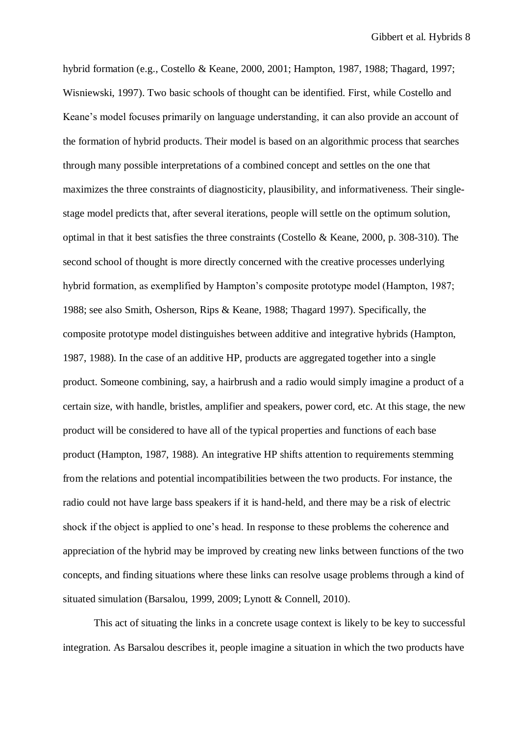hybrid formation (e.g., Costello & Keane, 2000, 2001; Hampton, 1987, 1988; Thagard, 1997; Wisniewski, 1997). Two basic schools of thought can be identified. First, while Costello and Keane's model focuses primarily on language understanding, it can also provide an account of the formation of hybrid products. Their model is based on an algorithmic process that searches through many possible interpretations of a combined concept and settles on the one that maximizes the three constraints of diagnosticity, plausibility, and informativeness. Their singlestage model predicts that, after several iterations, people will settle on the optimum solution, optimal in that it best satisfies the three constraints (Costello & Keane, 2000, p. 308-310). The second school of thought is more directly concerned with the creative processes underlying hybrid formation, as exemplified by Hampton's composite prototype model (Hampton, 1987; 1988; see also Smith, Osherson, Rips & Keane, 1988; Thagard 1997). Specifically, the composite prototype model distinguishes between additive and integrative hybrids (Hampton, 1987, 1988). In the case of an additive HP, products are aggregated together into a single product. Someone combining, say, a hairbrush and a radio would simply imagine a product of a certain size, with handle, bristles, amplifier and speakers, power cord, etc. At this stage, the new product will be considered to have all of the typical properties and functions of each base product (Hampton, 1987, 1988). An integrative HP shifts attention to requirements stemming from the relations and potential incompatibilities between the two products. For instance, the radio could not have large bass speakers if it is hand-held, and there may be a risk of electric shock if the object is applied to one's head. In response to these problems the coherence and appreciation of the hybrid may be improved by creating new links between functions of the two concepts, and finding situations where these links can resolve usage problems through a kind of situated simulation (Barsalou, 1999, 2009; Lynott & Connell, 2010).

This act of situating the links in a concrete usage context is likely to be key to successful integration. As Barsalou describes it, people imagine a situation in which the two products have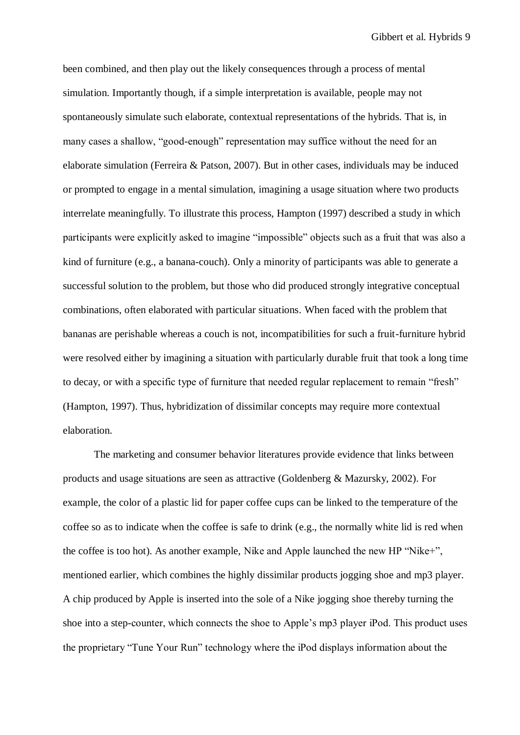been combined, and then play out the likely consequences through a process of mental simulation. Importantly though, if a simple interpretation is available, people may not spontaneously simulate such elaborate, contextual representations of the hybrids. That is, in many cases a shallow, "good-enough" representation may suffice without the need for an elaborate simulation (Ferreira & Patson, 2007). But in other cases, individuals may be induced or prompted to engage in a mental simulation, imagining a usage situation where two products interrelate meaningfully. To illustrate this process, Hampton (1997) described a study in which participants were explicitly asked to imagine "impossible" objects such as a fruit that was also a kind of furniture (e.g., a banana-couch). Only a minority of participants was able to generate a successful solution to the problem, but those who did produced strongly integrative conceptual combinations, often elaborated with particular situations. When faced with the problem that bananas are perishable whereas a couch is not, incompatibilities for such a fruit-furniture hybrid were resolved either by imagining a situation with particularly durable fruit that took a long time to decay, or with a specific type of furniture that needed regular replacement to remain "fresh" (Hampton, 1997). Thus, hybridization of dissimilar concepts may require more contextual elaboration.

The marketing and consumer behavior literatures provide evidence that links between products and usage situations are seen as attractive (Goldenberg & Mazursky, 2002). For example, the color of a plastic lid for paper coffee cups can be linked to the temperature of the coffee so as to indicate when the coffee is safe to drink (e.g., the normally white lid is red when the coffee is too hot). As another example, Nike and Apple launched the new HP "Nike+", mentioned earlier, which combines the highly dissimilar products jogging shoe and mp3 player. A chip produced by Apple is inserted into the sole of a Nike jogging shoe thereby turning the shoe into a step-counter, which connects the shoe to Apple's mp3 player iPod. This product uses the proprietary "Tune Your Run" technology where the iPod displays information about the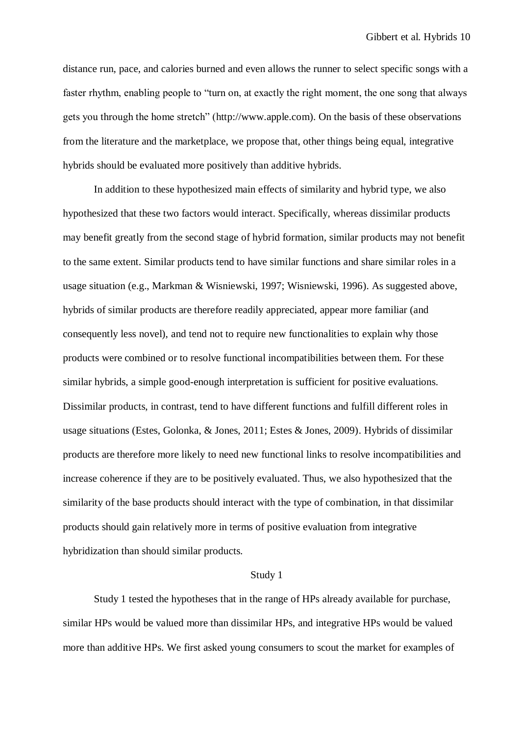distance run, pace, and calories burned and even allows the runner to select specific songs with a faster rhythm, enabling people to "turn on, at exactly the right moment, the one song that always gets you through the home stretch" (http://www.apple.com). On the basis of these observations from the literature and the marketplace, we propose that, other things being equal, integrative hybrids should be evaluated more positively than additive hybrids.

In addition to these hypothesized main effects of similarity and hybrid type, we also hypothesized that these two factors would interact. Specifically, whereas dissimilar products may benefit greatly from the second stage of hybrid formation, similar products may not benefit to the same extent. Similar products tend to have similar functions and share similar roles in a usage situation (e.g., Markman & Wisniewski, 1997; Wisniewski, 1996). As suggested above, hybrids of similar products are therefore readily appreciated, appear more familiar (and consequently less novel), and tend not to require new functionalities to explain why those products were combined or to resolve functional incompatibilities between them. For these similar hybrids, a simple good-enough interpretation is sufficient for positive evaluations. Dissimilar products, in contrast, tend to have different functions and fulfill different roles in usage situations (Estes, Golonka, & Jones, 2011; Estes & Jones, 2009). Hybrids of dissimilar products are therefore more likely to need new functional links to resolve incompatibilities and increase coherence if they are to be positively evaluated. Thus, we also hypothesized that the similarity of the base products should interact with the type of combination, in that dissimilar products should gain relatively more in terms of positive evaluation from integrative hybridization than should similar products.

#### Study 1

Study 1 tested the hypotheses that in the range of HPs already available for purchase, similar HPs would be valued more than dissimilar HPs, and integrative HPs would be valued more than additive HPs. We first asked young consumers to scout the market for examples of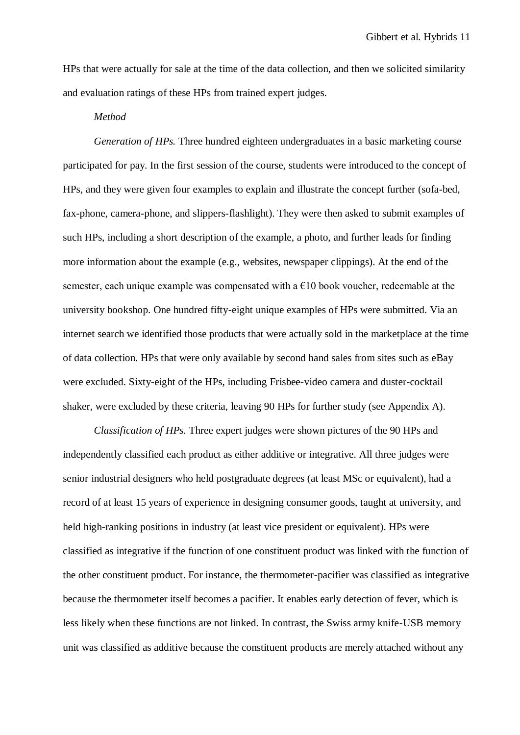HPs that were actually for sale at the time of the data collection, and then we solicited similarity and evaluation ratings of these HPs from trained expert judges.

#### *Method*

*Generation of HPs.* Three hundred eighteen undergraduates in a basic marketing course participated for pay. In the first session of the course, students were introduced to the concept of HPs, and they were given four examples to explain and illustrate the concept further (sofa-bed, fax-phone, camera-phone, and slippers-flashlight). They were then asked to submit examples of such HPs, including a short description of the example, a photo, and further leads for finding more information about the example (e.g., websites, newspaper clippings). At the end of the semester, each unique example was compensated with a  $E10$  book voucher, redeemable at the university bookshop. One hundred fifty-eight unique examples of HPs were submitted. Via an internet search we identified those products that were actually sold in the marketplace at the time of data collection. HPs that were only available by second hand sales from sites such as eBay were excluded. Sixty-eight of the HPs, including Frisbee-video camera and duster-cocktail shaker, were excluded by these criteria, leaving 90 HPs for further study (see Appendix A).

*Classification of HPs.* Three expert judges were shown pictures of the 90 HPs and independently classified each product as either additive or integrative. All three judges were senior industrial designers who held postgraduate degrees (at least MSc or equivalent), had a record of at least 15 years of experience in designing consumer goods, taught at university, and held high-ranking positions in industry (at least vice president or equivalent). HPs were classified as integrative if the function of one constituent product was linked with the function of the other constituent product. For instance, the thermometer-pacifier was classified as integrative because the thermometer itself becomes a pacifier. It enables early detection of fever, which is less likely when these functions are not linked. In contrast, the Swiss army knife-USB memory unit was classified as additive because the constituent products are merely attached without any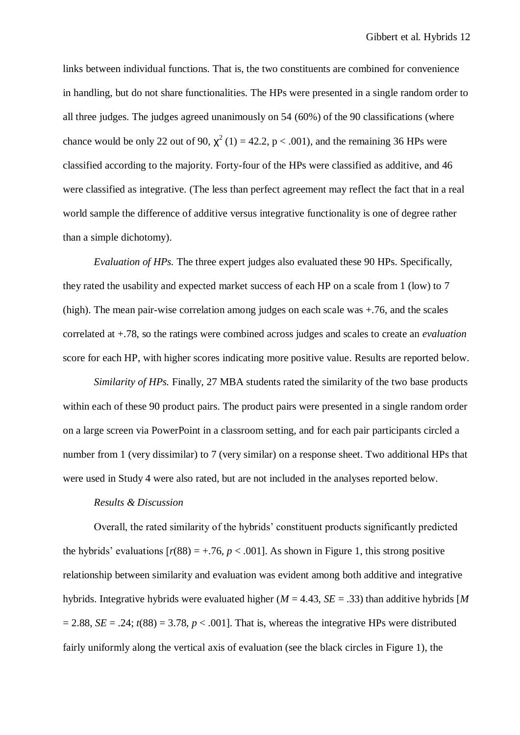links between individual functions. That is, the two constituents are combined for convenience in handling, but do not share functionalities. The HPs were presented in a single random order to all three judges. The judges agreed unanimously on 54 (60%) of the 90 classifications (where chance would be only 22 out of 90,  $\chi^2$  (1) = 42.2, p < .001), and the remaining 36 HPs were classified according to the majority. Forty-four of the HPs were classified as additive, and 46 were classified as integrative. (The less than perfect agreement may reflect the fact that in a real world sample the difference of additive versus integrative functionality is one of degree rather than a simple dichotomy).

*Evaluation of HPs.* The three expert judges also evaluated these 90 HPs. Specifically, they rated the usability and expected market success of each HP on a scale from 1 (low) to 7 (high). The mean pair-wise correlation among judges on each scale was +.76, and the scales correlated at +.78, so the ratings were combined across judges and scales to create an *evaluation* score for each HP, with higher scores indicating more positive value. Results are reported below.

*Similarity of HPs.* Finally, 27 MBA students rated the similarity of the two base products within each of these 90 product pairs. The product pairs were presented in a single random order on a large screen via PowerPoint in a classroom setting, and for each pair participants circled a number from 1 (very dissimilar) to 7 (very similar) on a response sheet. Two additional HPs that were used in Study 4 were also rated, but are not included in the analyses reported below.

#### *Results & Discussion*

Overall, the rated similarity of the hybrids' constituent products significantly predicted the hybrids' evaluations  $[r(88) = +0.76, p < 0.001]$ . As shown in Figure 1, this strong positive relationship between similarity and evaluation was evident among both additive and integrative hybrids. Integrative hybrids were evaluated higher (*M* = 4.43, *SE* = .33) than additive hybrids [*M*  $= 2.88$ , *SE* = .24;  $t(88) = 3.78$ ,  $p < .001$ . That is, whereas the integrative HPs were distributed fairly uniformly along the vertical axis of evaluation (see the black circles in Figure 1), the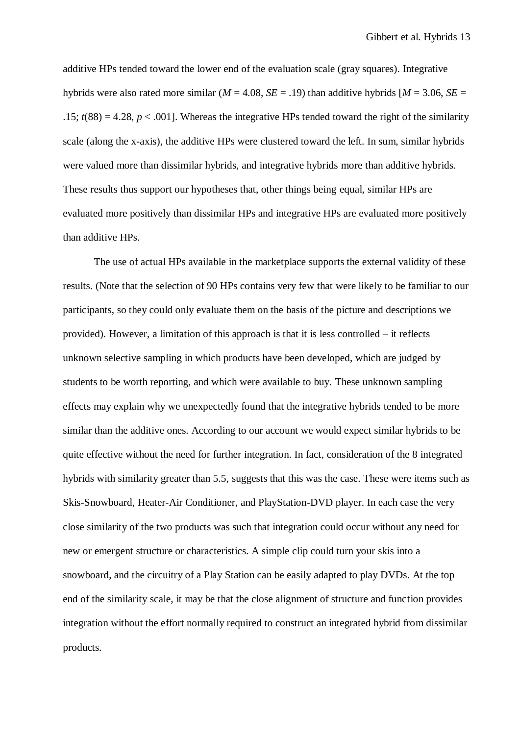additive HPs tended toward the lower end of the evaluation scale (gray squares). Integrative hybrids were also rated more similar ( $M = 4.08$ ,  $SE = .19$ ) than additive hybrids  $M = 3.06$ ,  $SE =$ .15;  $t(88) = 4.28$ ,  $p < .001$ . Whereas the integrative HPs tended toward the right of the similarity scale (along the x-axis), the additive HPs were clustered toward the left. In sum, similar hybrids were valued more than dissimilar hybrids, and integrative hybrids more than additive hybrids. These results thus support our hypotheses that, other things being equal, similar HPs are evaluated more positively than dissimilar HPs and integrative HPs are evaluated more positively than additive HPs.

The use of actual HPs available in the marketplace supports the external validity of these results. (Note that the selection of 90 HPs contains very few that were likely to be familiar to our participants, so they could only evaluate them on the basis of the picture and descriptions we provided). However, a limitation of this approach is that it is less controlled – it reflects unknown selective sampling in which products have been developed, which are judged by students to be worth reporting, and which were available to buy. These unknown sampling effects may explain why we unexpectedly found that the integrative hybrids tended to be more similar than the additive ones. According to our account we would expect similar hybrids to be quite effective without the need for further integration. In fact, consideration of the 8 integrated hybrids with similarity greater than 5.5, suggests that this was the case. These were items such as Skis-Snowboard, Heater-Air Conditioner, and PlayStation-DVD player. In each case the very close similarity of the two products was such that integration could occur without any need for new or emergent structure or characteristics. A simple clip could turn your skis into a snowboard, and the circuitry of a Play Station can be easily adapted to play DVDs. At the top end of the similarity scale, it may be that the close alignment of structure and function provides integration without the effort normally required to construct an integrated hybrid from dissimilar products.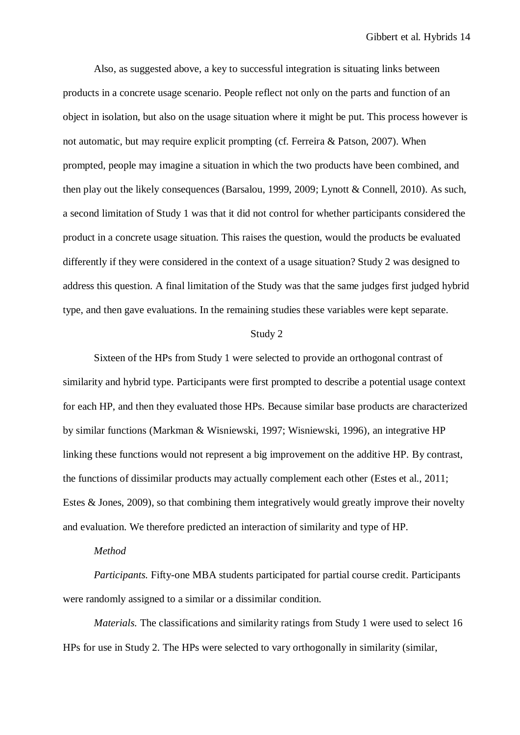Also, as suggested above, a key to successful integration is situating links between products in a concrete usage scenario. People reflect not only on the parts and function of an object in isolation, but also on the usage situation where it might be put. This process however is not automatic, but may require explicit prompting (cf. Ferreira & Patson, 2007). When prompted, people may imagine a situation in which the two products have been combined, and then play out the likely consequences (Barsalou, 1999, 2009; Lynott & Connell, 2010). As such, a second limitation of Study 1 was that it did not control for whether participants considered the product in a concrete usage situation. This raises the question, would the products be evaluated differently if they were considered in the context of a usage situation? Study 2 was designed to address this question. A final limitation of the Study was that the same judges first judged hybrid type, and then gave evaluations. In the remaining studies these variables were kept separate.

#### Study 2

Sixteen of the HPs from Study 1 were selected to provide an orthogonal contrast of similarity and hybrid type. Participants were first prompted to describe a potential usage context for each HP, and then they evaluated those HPs. Because similar base products are characterized by similar functions (Markman & Wisniewski, 1997; Wisniewski, 1996), an integrative HP linking these functions would not represent a big improvement on the additive HP. By contrast, the functions of dissimilar products may actually complement each other (Estes et al., 2011; Estes & Jones, 2009), so that combining them integratively would greatly improve their novelty and evaluation. We therefore predicted an interaction of similarity and type of HP.

#### *Method*

*Participants.* Fifty-one MBA students participated for partial course credit. Participants were randomly assigned to a similar or a dissimilar condition.

*Materials.* The classifications and similarity ratings from Study 1 were used to select 16 HPs for use in Study 2. The HPs were selected to vary orthogonally in similarity (similar,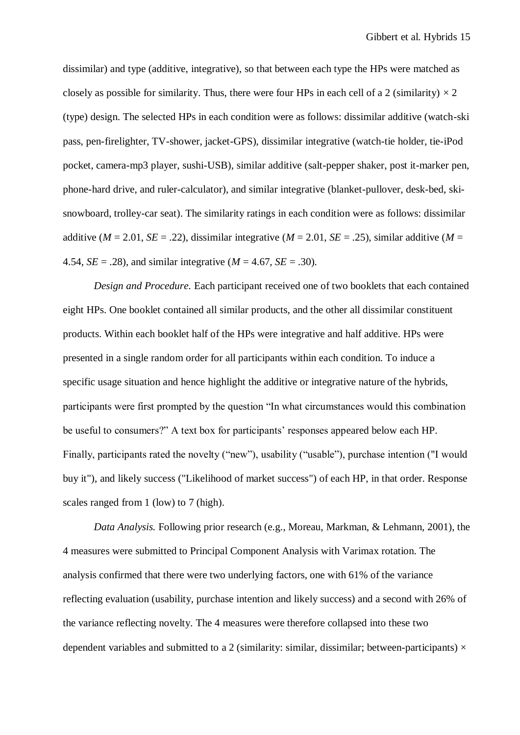dissimilar) and type (additive, integrative), so that between each type the HPs were matched as closely as possible for similarity. Thus, there were four HPs in each cell of a 2 (similarity)  $\times$  2 (type) design. The selected HPs in each condition were as follows: dissimilar additive (watch-ski pass, pen-firelighter, TV-shower, jacket-GPS), dissimilar integrative (watch-tie holder, tie-iPod pocket, camera-mp3 player, sushi-USB), similar additive (salt-pepper shaker, post it-marker pen, phone-hard drive, and ruler-calculator), and similar integrative (blanket-pullover, desk-bed, skisnowboard, trolley-car seat). The similarity ratings in each condition were as follows: dissimilar additive ( $M = 2.01$ ,  $SE = .22$ ), dissimilar integrative ( $M = 2.01$ ,  $SE = .25$ ), similar additive ( $M =$ 4.54, *SE* = .28), and similar integrative (*M* = 4.67, *SE* = .30).

*Design and Procedure.* Each participant received one of two booklets that each contained eight HPs. One booklet contained all similar products, and the other all dissimilar constituent products. Within each booklet half of the HPs were integrative and half additive. HPs were presented in a single random order for all participants within each condition. To induce a specific usage situation and hence highlight the additive or integrative nature of the hybrids, participants were first prompted by the question "In what circumstances would this combination be useful to consumers?" A text box for participants' responses appeared below each HP. Finally, participants rated the novelty ("new"), usability ("usable"), purchase intention ("I would buy it"), and likely success ("Likelihood of market success") of each HP, in that order. Response scales ranged from 1 (low) to 7 (high).

*Data Analysis.* Following prior research (e.g., Moreau, Markman, & Lehmann, 2001), the 4 measures were submitted to Principal Component Analysis with Varimax rotation. The analysis confirmed that there were two underlying factors, one with 61% of the variance reflecting evaluation (usability, purchase intention and likely success) and a second with 26% of the variance reflecting novelty. The 4 measures were therefore collapsed into these two dependent variables and submitted to a 2 (similarity: similar, dissimilar; between-participants)  $\times$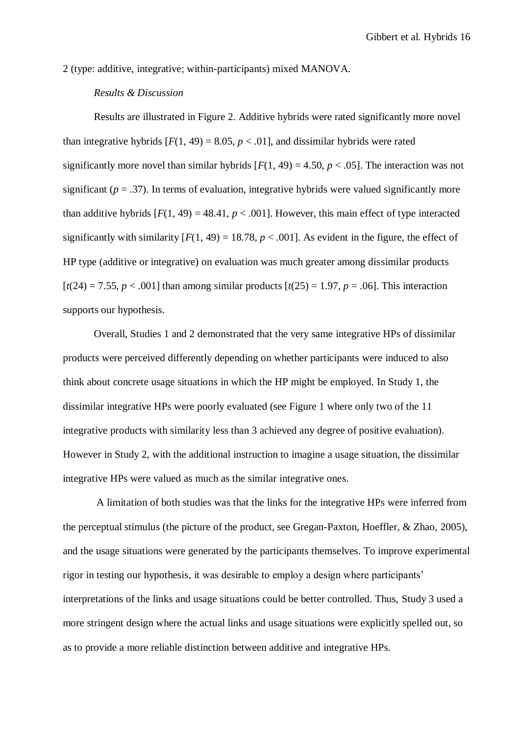2 (type: additive, integrative; within-participants) mixed MANOVA.

## *Results & Discussion*

Results are illustrated in Figure 2. Additive hybrids were rated significantly more novel than integrative hybrids  $[F(1, 49) = 8.05, p < .01]$ , and dissimilar hybrids were rated significantly more novel than similar hybrids  $[F(1, 49) = 4.50, p < .05]$ . The interaction was not significant ( $p = .37$ ). In terms of evaluation, integrative hybrids were valued significantly more than additive hybrids  $[F(1, 49) = 48.41, p < .001]$ . However, this main effect of type interacted significantly with similarity  $[F(1, 49) = 18.78, p < .001]$ . As evident in the figure, the effect of HP type (additive or integrative) on evaluation was much greater among dissimilar products  $[t(24) = 7.55, p < .001]$  than among similar products  $[t(25) = 1.97, p = .06]$ . This interaction supports our hypothesis.

Overall, Studies 1 and 2 demonstrated that the very same integrative HPs of dissimilar products were perceived differently depending on whether participants were induced to also think about concrete usage situations in which the HP might be employed. In Study 1, the dissimilar integrative HPs were poorly evaluated (see Figure 1 where only two of the 11 integrative products with similarity less than 3 achieved any degree of positive evaluation). However in Study 2, with the additional instruction to imagine a usage situation, the dissimilar integrative HPs were valued as much as the similar integrative ones.

A limitation of both studies was that the links for the integrative HPs were inferred from the perceptual stimulus (the picture of the product, see Gregan-Paxton, Hoeffler, & Zhao, 2005), and the usage situations were generated by the participants themselves. To improve experimental rigor in testing our hypothesis, it was desirable to employ a design where participants' interpretations of the links and usage situations could be better controlled. Thus, Study 3 used a more stringent design where the actual links and usage situations were explicitly spelled out, so as to provide a more reliable distinction between additive and integrative HPs.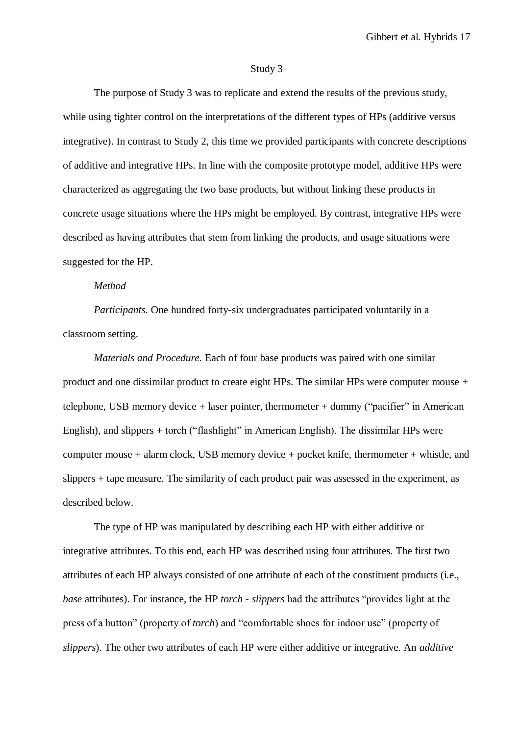#### Study 3

The purpose of Study 3 was to replicate and extend the results of the previous study, while using tighter control on the interpretations of the different types of HPs (additive versus integrative). In contrast to Study 2, this time we provided participants with concrete descriptions of additive and integrative HPs. In line with the composite prototype model, additive HPs were characterized as aggregating the two base products, but without linking these products in concrete usage situations where the HPs might be employed. By contrast, integrative HPs were described as having attributes that stem from linking the products, and usage situations were suggested for the HP.

#### *Method*

*Participants.* One hundred forty-six undergraduates participated voluntarily in a classroom setting.

*Materials and Procedure.* Each of four base products was paired with one similar product and one dissimilar product to create eight HPs. The similar HPs were computer mouse + telephone, USB memory device  $+$  laser pointer, thermometer  $+$  dummy ("pacifier" in American English), and slippers + torch ("flashlight" in American English). The dissimilar HPs were computer mouse + alarm clock, USB memory device + pocket knife, thermometer + whistle, and slippers + tape measure. The similarity of each product pair was assessed in the experiment, as described below.

The type of HP was manipulated by describing each HP with either additive or integrative attributes. To this end, each HP was described using four attributes. The first two attributes of each HP always consisted of one attribute of each of the constituent products (i.e., *base* attributes). For instance, the HP *torch - slippers* had the attributes "provides light at the press of a button" (property of *torch*) and "comfortable shoes for indoor use" (property of *slippers*). The other two attributes of each HP were either additive or integrative. An *additive*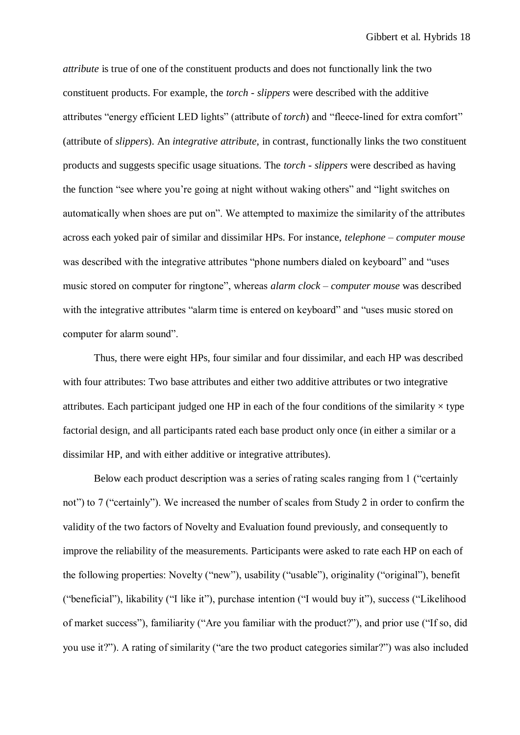*attribute* is true of one of the constituent products and does not functionally link the two constituent products. For example, the *torch - slippers* were described with the additive attributes "energy efficient LED lights" (attribute of *torch*) and "fleece-lined for extra comfort" (attribute of *slippers*). An *integrative attribute*, in contrast, functionally links the two constituent products and suggests specific usage situations. The *torch - slippers* were described as having the function "see where you're going at night without waking others" and "light switches on automatically when shoes are put on". We attempted to maximize the similarity of the attributes across each yoked pair of similar and dissimilar HPs. For instance, *telephone – computer mouse* was described with the integrative attributes "phone numbers dialed on keyboard" and "uses music stored on computer for ringtone", whereas *alarm clock – computer mouse* was described with the integrative attributes "alarm time is entered on keyboard" and "uses music stored on computer for alarm sound".

Thus, there were eight HPs, four similar and four dissimilar, and each HP was described with four attributes: Two base attributes and either two additive attributes or two integrative attributes. Each participant judged one HP in each of the four conditions of the similarity  $\times$  type factorial design, and all participants rated each base product only once (in either a similar or a dissimilar HP, and with either additive or integrative attributes).

Below each product description was a series of rating scales ranging from 1 ("certainly not") to 7 ("certainly"). We increased the number of scales from Study 2 in order to confirm the validity of the two factors of Novelty and Evaluation found previously, and consequently to improve the reliability of the measurements. Participants were asked to rate each HP on each of the following properties: Novelty ("new"), usability ("usable"), originality ("original"), benefit ("beneficial"), likability ("I like it"), purchase intention ("I would buy it"), success ("Likelihood of market success"), familiarity ("Are you familiar with the product?"), and prior use ("If so, did you use it?"). A rating of similarity ("are the two product categories similar?") was also included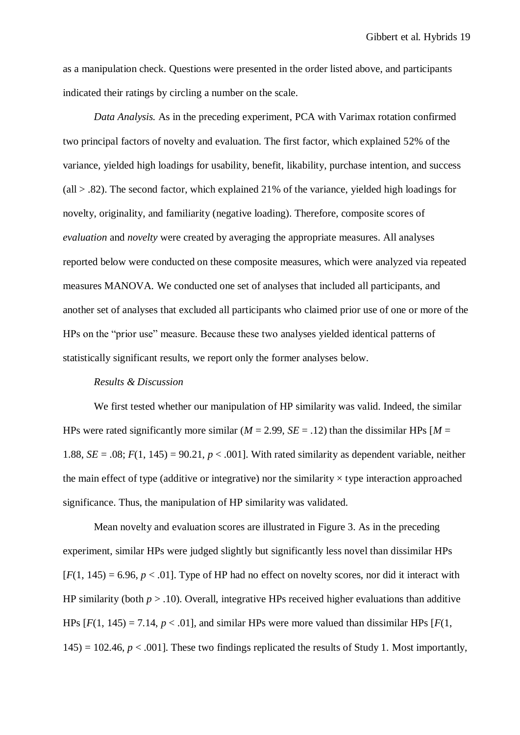as a manipulation check. Questions were presented in the order listed above, and participants indicated their ratings by circling a number on the scale.

*Data Analysis.* As in the preceding experiment, PCA with Varimax rotation confirmed two principal factors of novelty and evaluation. The first factor, which explained 52% of the variance, yielded high loadings for usability, benefit, likability, purchase intention, and success  $\text{(all} > .82)$ . The second factor, which explained 21% of the variance, yielded high loadings for novelty, originality, and familiarity (negative loading). Therefore, composite scores of *evaluation* and *novelty* were created by averaging the appropriate measures. All analyses reported below were conducted on these composite measures, which were analyzed via repeated measures MANOVA. We conducted one set of analyses that included all participants, and another set of analyses that excluded all participants who claimed prior use of one or more of the HPs on the "prior use" measure. Because these two analyses yielded identical patterns of statistically significant results, we report only the former analyses below.

#### *Results & Discussion*

We first tested whether our manipulation of HP similarity was valid. Indeed, the similar HPs were rated significantly more similar ( $M = 2.99$ ,  $SE = .12$ ) than the dissimilar HPs [ $M =$ 1.88,  $SE = .08$ ;  $F(1, 145) = 90.21$ ,  $p < .001$ . With rated similarity as dependent variable, neither the main effect of type (additive or integrative) nor the similarity  $\times$  type interaction approached significance. Thus, the manipulation of HP similarity was validated.

Mean novelty and evaluation scores are illustrated in Figure 3. As in the preceding experiment, similar HPs were judged slightly but significantly less novel than dissimilar HPs  $[F(1, 145) = 6.96, p < .01]$ . Type of HP had no effect on novelty scores, nor did it interact with HP similarity (both  $p > .10$ ). Overall, integrative HPs received higher evaluations than additive HPs  $[F(1, 145) = 7.14, p < .01]$ , and similar HPs were more valued than dissimilar HPs  $[F(1, 145) = 7.14, p < .01]$  $145$ ) = 102.46,  $p < .001$ ]. These two findings replicated the results of Study 1. Most importantly,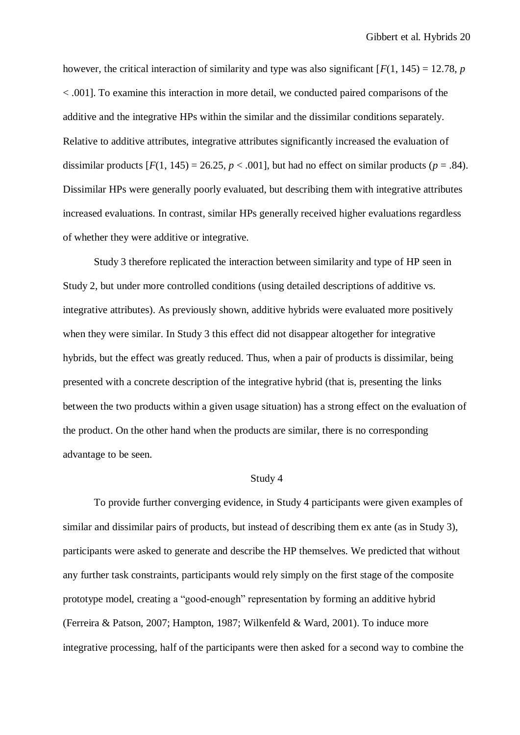however, the critical interaction of similarity and type was also significant  $[F(1, 145) = 12.78$ , *p* < .001]. To examine this interaction in more detail, we conducted paired comparisons of the additive and the integrative HPs within the similar and the dissimilar conditions separately. Relative to additive attributes, integrative attributes significantly increased the evaluation of dissimilar products  $[F(1, 145) = 26.25, p < .001]$ , but had no effect on similar products ( $p = .84$ ). Dissimilar HPs were generally poorly evaluated, but describing them with integrative attributes increased evaluations. In contrast, similar HPs generally received higher evaluations regardless of whether they were additive or integrative.

Study 3 therefore replicated the interaction between similarity and type of HP seen in Study 2, but under more controlled conditions (using detailed descriptions of additive vs. integrative attributes). As previously shown, additive hybrids were evaluated more positively when they were similar. In Study 3 this effect did not disappear altogether for integrative hybrids, but the effect was greatly reduced. Thus, when a pair of products is dissimilar, being presented with a concrete description of the integrative hybrid (that is, presenting the links between the two products within a given usage situation) has a strong effect on the evaluation of the product. On the other hand when the products are similar, there is no corresponding advantage to be seen.

## Study 4

To provide further converging evidence, in Study 4 participants were given examples of similar and dissimilar pairs of products, but instead of describing them ex ante (as in Study 3), participants were asked to generate and describe the HP themselves. We predicted that without any further task constraints, participants would rely simply on the first stage of the composite prototype model, creating a "good-enough" representation by forming an additive hybrid (Ferreira & Patson, 2007; Hampton, 1987; Wilkenfeld & Ward, 2001). To induce more integrative processing, half of the participants were then asked for a second way to combine the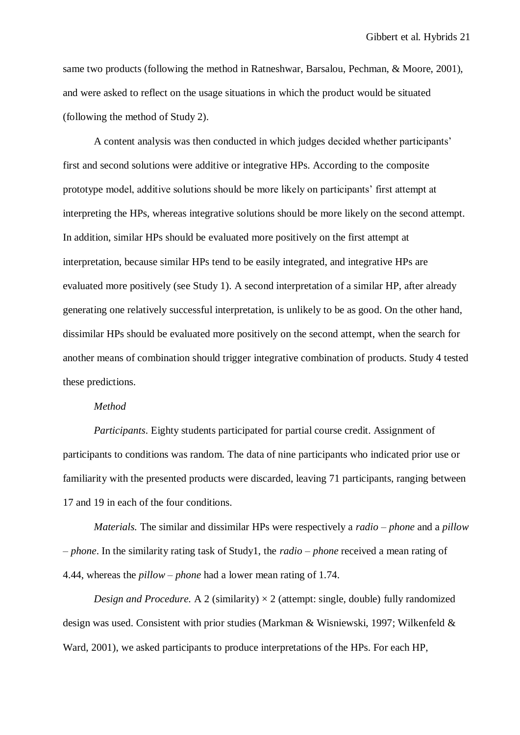same two products (following the method in Ratneshwar, Barsalou, Pechman, & Moore, 2001), and were asked to reflect on the usage situations in which the product would be situated (following the method of Study 2).

A content analysis was then conducted in which judges decided whether participants' first and second solutions were additive or integrative HPs. According to the composite prototype model, additive solutions should be more likely on participants' first attempt at interpreting the HPs, whereas integrative solutions should be more likely on the second attempt. In addition, similar HPs should be evaluated more positively on the first attempt at interpretation, because similar HPs tend to be easily integrated, and integrative HPs are evaluated more positively (see Study 1). A second interpretation of a similar HP, after already generating one relatively successful interpretation, is unlikely to be as good. On the other hand, dissimilar HPs should be evaluated more positively on the second attempt, when the search for another means of combination should trigger integrative combination of products. Study 4 tested these predictions.

### *Method*

*Participants*. Eighty students participated for partial course credit. Assignment of participants to conditions was random. The data of nine participants who indicated prior use or familiarity with the presented products were discarded, leaving 71 participants, ranging between 17 and 19 in each of the four conditions.

*Materials.* The similar and dissimilar HPs were respectively a *radio – phone* and a *pillow – phone*. In the similarity rating task of Study1, the *radio – phone* received a mean rating of 4.44, whereas the *pillow – phone* had a lower mean rating of 1.74.

*Design and Procedure.* A 2 (similarity)  $\times$  2 (attempt: single, double) fully randomized design was used. Consistent with prior studies (Markman & Wisniewski, 1997; Wilkenfeld & Ward, 2001), we asked participants to produce interpretations of the HPs. For each HP,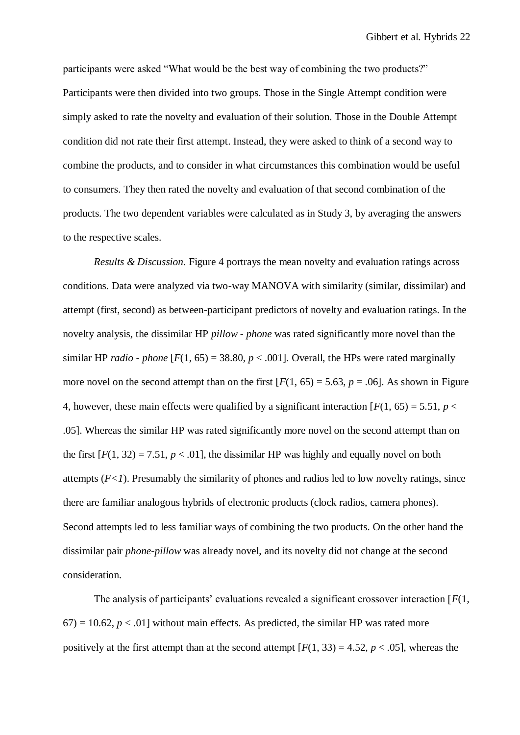participants were asked "What would be the best way of combining the two products?" Participants were then divided into two groups. Those in the Single Attempt condition were simply asked to rate the novelty and evaluation of their solution. Those in the Double Attempt condition did not rate their first attempt. Instead, they were asked to think of a second way to combine the products, and to consider in what circumstances this combination would be useful to consumers. They then rated the novelty and evaluation of that second combination of the products. The two dependent variables were calculated as in Study 3, by averaging the answers to the respective scales.

*Results & Discussion.* Figure 4 portrays the mean novelty and evaluation ratings across conditions. Data were analyzed via two-way MANOVA with similarity (similar, dissimilar) and attempt (first, second) as between-participant predictors of novelty and evaluation ratings. In the novelty analysis, the dissimilar HP *pillow - phone* was rated significantly more novel than the similar HP *radio - phone*  $[F(1, 65) = 38.80, p < .001]$ . Overall, the HPs were rated marginally more novel on the second attempt than on the first  $[F(1, 65) = 5.63, p = .06]$ . As shown in Figure 4, however, these main effects were qualified by a significant interaction  $[F(1, 65) = 5.51, p <$ .05]. Whereas the similar HP was rated significantly more novel on the second attempt than on the first  $[F(1, 32) = 7.51, p < .01]$ , the dissimilar HP was highly and equally novel on both attempts  $(F<1)$ . Presumably the similarity of phones and radios led to low novelty ratings, since there are familiar analogous hybrids of electronic products (clock radios, camera phones). Second attempts led to less familiar ways of combining the two products. On the other hand the dissimilar pair *phone-pillow* was already novel, and its novelty did not change at the second consideration.

The analysis of participants' evaluations revealed a significant crossover interaction [*F*(1,  $67$ ) = 10.62,  $p < 0.01$ ] without main effects. As predicted, the similar HP was rated more positively at the first attempt than at the second attempt  $[F(1, 33) = 4.52, p < .05]$ , whereas the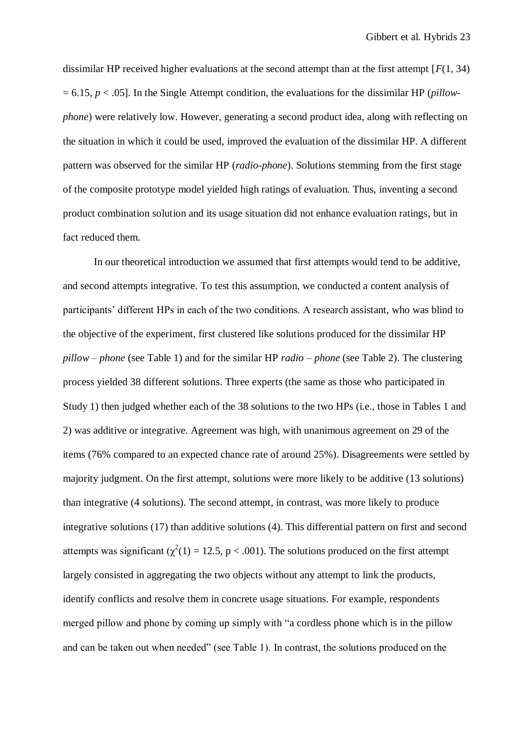dissimilar HP received higher evaluations at the second attempt than at the first attempt [*F*(1, 34) = 6.15, *p* < .05]. In the Single Attempt condition, the evaluations for the dissimilar HP (*pillowphone*) were relatively low. However, generating a second product idea, along with reflecting on the situation in which it could be used, improved the evaluation of the dissimilar HP. A different pattern was observed for the similar HP (*radio-phone*). Solutions stemming from the first stage of the composite prototype model yielded high ratings of evaluation. Thus, inventing a second product combination solution and its usage situation did not enhance evaluation ratings, but in fact reduced them.

In our theoretical introduction we assumed that first attempts would tend to be additive, and second attempts integrative. To test this assumption, we conducted a content analysis of participants' different HPs in each of the two conditions. A research assistant, who was blind to the objective of the experiment, first clustered like solutions produced for the dissimilar HP *pillow – phone* (see Table 1) and for the similar HP *radio – phone* (see Table 2). The clustering process yielded 38 different solutions. Three experts (the same as those who participated in Study 1) then judged whether each of the 38 solutions to the two HPs (i.e., those in Tables 1 and 2) was additive or integrative. Agreement was high, with unanimous agreement on 29 of the items (76% compared to an expected chance rate of around 25%). Disagreements were settled by majority judgment. On the first attempt, solutions were more likely to be additive (13 solutions) than integrative (4 solutions). The second attempt, in contrast, was more likely to produce integrative solutions (17) than additive solutions (4). This differential pattern on first and second attempts was significant ( $\chi^2(1) = 12.5$ , p < .001). The solutions produced on the first attempt largely consisted in aggregating the two objects without any attempt to link the products, identify conflicts and resolve them in concrete usage situations. For example, respondents merged pillow and phone by coming up simply with "a cordless phone which is in the pillow and can be taken out when needed" (see Table 1). In contrast, the solutions produced on the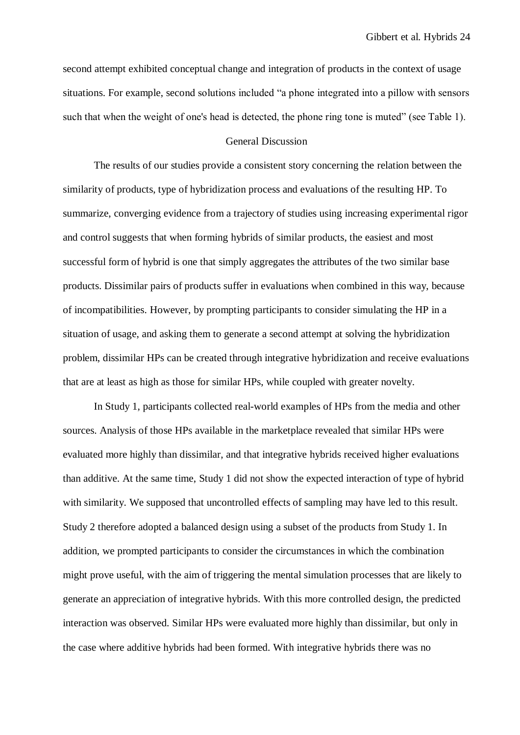second attempt exhibited conceptual change and integration of products in the context of usage situations. For example, second solutions included "a phone integrated into a pillow with sensors such that when the weight of one's head is detected, the phone ring tone is muted" (see Table 1).

## General Discussion

The results of our studies provide a consistent story concerning the relation between the similarity of products, type of hybridization process and evaluations of the resulting HP. To summarize, converging evidence from a trajectory of studies using increasing experimental rigor and control suggests that when forming hybrids of similar products, the easiest and most successful form of hybrid is one that simply aggregates the attributes of the two similar base products. Dissimilar pairs of products suffer in evaluations when combined in this way, because of incompatibilities. However, by prompting participants to consider simulating the HP in a situation of usage, and asking them to generate a second attempt at solving the hybridization problem, dissimilar HPs can be created through integrative hybridization and receive evaluations that are at least as high as those for similar HPs, while coupled with greater novelty.

In Study 1, participants collected real-world examples of HPs from the media and other sources. Analysis of those HPs available in the marketplace revealed that similar HPs were evaluated more highly than dissimilar, and that integrative hybrids received higher evaluations than additive. At the same time, Study 1 did not show the expected interaction of type of hybrid with similarity. We supposed that uncontrolled effects of sampling may have led to this result. Study 2 therefore adopted a balanced design using a subset of the products from Study 1. In addition, we prompted participants to consider the circumstances in which the combination might prove useful, with the aim of triggering the mental simulation processes that are likely to generate an appreciation of integrative hybrids. With this more controlled design, the predicted interaction was observed. Similar HPs were evaluated more highly than dissimilar, but only in the case where additive hybrids had been formed. With integrative hybrids there was no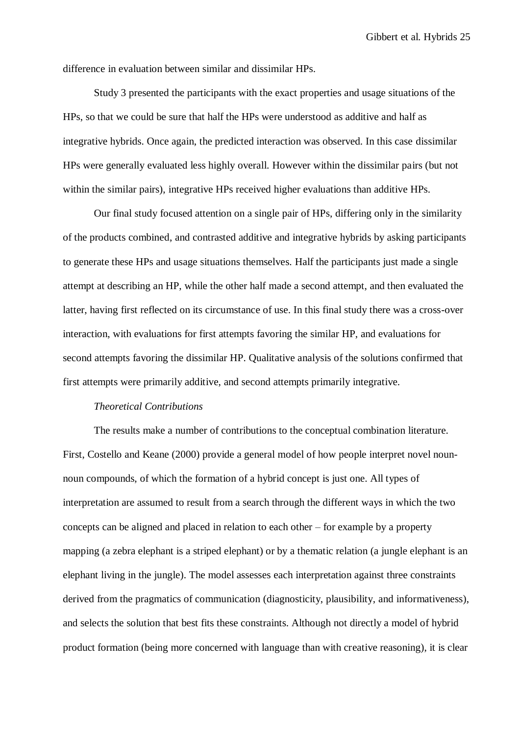difference in evaluation between similar and dissimilar HPs.

Study 3 presented the participants with the exact properties and usage situations of the HPs, so that we could be sure that half the HPs were understood as additive and half as integrative hybrids. Once again, the predicted interaction was observed. In this case dissimilar HPs were generally evaluated less highly overall. However within the dissimilar pairs (but not within the similar pairs), integrative HPs received higher evaluations than additive HPs.

Our final study focused attention on a single pair of HPs, differing only in the similarity of the products combined, and contrasted additive and integrative hybrids by asking participants to generate these HPs and usage situations themselves. Half the participants just made a single attempt at describing an HP, while the other half made a second attempt, and then evaluated the latter, having first reflected on its circumstance of use. In this final study there was a cross-over interaction, with evaluations for first attempts favoring the similar HP, and evaluations for second attempts favoring the dissimilar HP. Qualitative analysis of the solutions confirmed that first attempts were primarily additive, and second attempts primarily integrative.

#### *Theoretical Contributions*

The results make a number of contributions to the conceptual combination literature. First, Costello and Keane (2000) provide a general model of how people interpret novel nounnoun compounds, of which the formation of a hybrid concept is just one. All types of interpretation are assumed to result from a search through the different ways in which the two concepts can be aligned and placed in relation to each other – for example by a property mapping (a zebra elephant is a striped elephant) or by a thematic relation (a jungle elephant is an elephant living in the jungle). The model assesses each interpretation against three constraints derived from the pragmatics of communication (diagnosticity, plausibility, and informativeness), and selects the solution that best fits these constraints. Although not directly a model of hybrid product formation (being more concerned with language than with creative reasoning), it is clear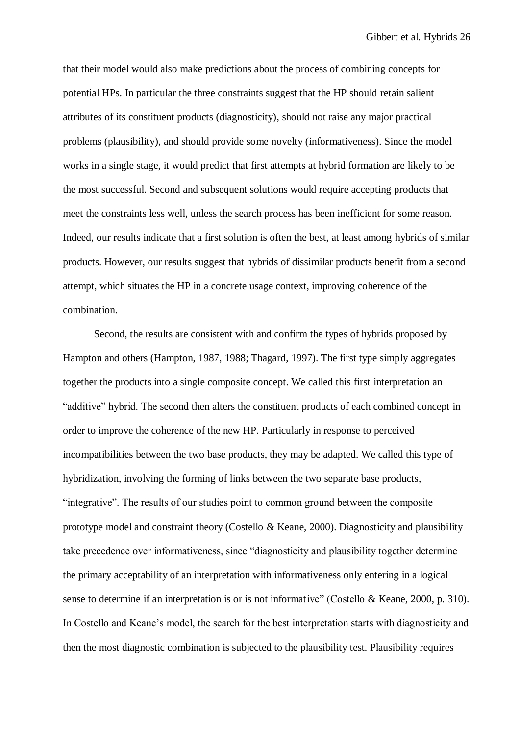that their model would also make predictions about the process of combining concepts for potential HPs. In particular the three constraints suggest that the HP should retain salient attributes of its constituent products (diagnosticity), should not raise any major practical problems (plausibility), and should provide some novelty (informativeness). Since the model works in a single stage, it would predict that first attempts at hybrid formation are likely to be the most successful. Second and subsequent solutions would require accepting products that meet the constraints less well, unless the search process has been inefficient for some reason. Indeed, our results indicate that a first solution is often the best, at least among hybrids of similar products. However, our results suggest that hybrids of dissimilar products benefit from a second attempt, which situates the HP in a concrete usage context, improving coherence of the combination.

Second, the results are consistent with and confirm the types of hybrids proposed by Hampton and others (Hampton, 1987, 1988; Thagard, 1997). The first type simply aggregates together the products into a single composite concept. We called this first interpretation an "additive" hybrid. The second then alters the constituent products of each combined concept in order to improve the coherence of the new HP. Particularly in response to perceived incompatibilities between the two base products, they may be adapted. We called this type of hybridization, involving the forming of links between the two separate base products, "integrative". The results of our studies point to common ground between the composite prototype model and constraint theory (Costello & Keane, 2000). Diagnosticity and plausibility take precedence over informativeness, since "diagnosticity and plausibility together determine the primary acceptability of an interpretation with informativeness only entering in a logical sense to determine if an interpretation is or is not informative" (Costello & Keane, 2000, p. 310). In Costello and Keane's model, the search for the best interpretation starts with diagnosticity and then the most diagnostic combination is subjected to the plausibility test. Plausibility requires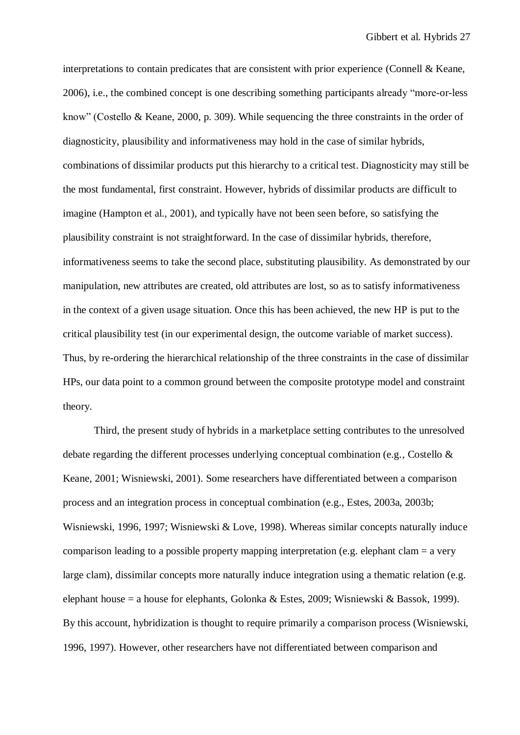interpretations to contain predicates that are consistent with prior experience (Connell & Keane, 2006), i.e., the combined concept is one describing something participants already "more-or-less know" (Costello & Keane, 2000, p. 309). While sequencing the three constraints in the order of diagnosticity, plausibility and informativeness may hold in the case of similar hybrids, combinations of dissimilar products put this hierarchy to a critical test. Diagnosticity may still be the most fundamental, first constraint. However, hybrids of dissimilar products are difficult to imagine (Hampton et al., 2001), and typically have not been seen before, so satisfying the plausibility constraint is not straightforward. In the case of dissimilar hybrids, therefore, informativeness seems to take the second place, substituting plausibility. As demonstrated by our manipulation, new attributes are created, old attributes are lost, so as to satisfy informativeness in the context of a given usage situation. Once this has been achieved, the new HP is put to the critical plausibility test (in our experimental design, the outcome variable of market success). Thus, by re-ordering the hierarchical relationship of the three constraints in the case of dissimilar HPs, our data point to a common ground between the composite prototype model and constraint theory.

Third, the present study of hybrids in a marketplace setting contributes to the unresolved debate regarding the different processes underlying conceptual combination (e.g., Costello & Keane, 2001; Wisniewski, 2001). Some researchers have differentiated between a comparison process and an integration process in conceptual combination (e.g., Estes, 2003a, 2003b; Wisniewski, 1996, 1997; Wisniewski & Love, 1998). Whereas similar concepts naturally induce comparison leading to a possible property mapping interpretation (e.g. elephant clam = a very large clam), dissimilar concepts more naturally induce integration using a thematic relation (e.g. elephant house = a house for elephants, Golonka & Estes, 2009; Wisniewski & Bassok, 1999). By this account, hybridization is thought to require primarily a comparison process (Wisniewski, 1996, 1997). However, other researchers have not differentiated between comparison and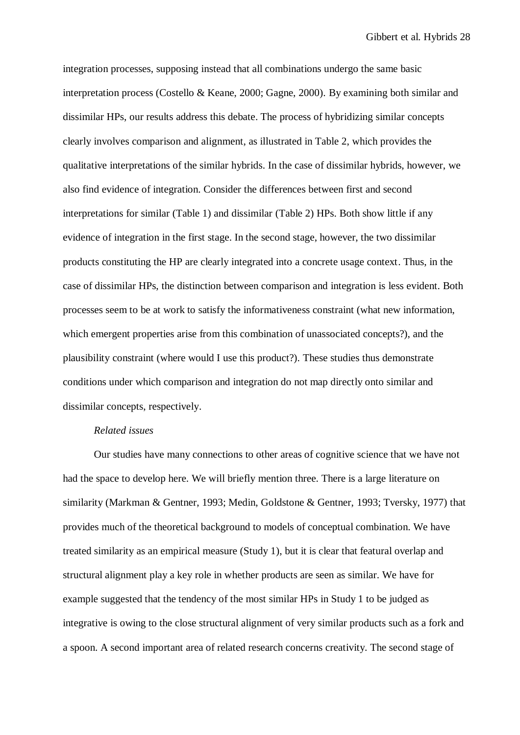integration processes, supposing instead that all combinations undergo the same basic interpretation process (Costello & Keane, 2000; Gagne, 2000). By examining both similar and dissimilar HPs, our results address this debate. The process of hybridizing similar concepts clearly involves comparison and alignment, as illustrated in Table 2, which provides the qualitative interpretations of the similar hybrids. In the case of dissimilar hybrids, however, we also find evidence of integration. Consider the differences between first and second interpretations for similar (Table 1) and dissimilar (Table 2) HPs. Both show little if any evidence of integration in the first stage. In the second stage, however, the two dissimilar products constituting the HP are clearly integrated into a concrete usage context. Thus, in the case of dissimilar HPs, the distinction between comparison and integration is less evident. Both processes seem to be at work to satisfy the informativeness constraint (what new information, which emergent properties arise from this combination of unassociated concepts?), and the plausibility constraint (where would I use this product?). These studies thus demonstrate conditions under which comparison and integration do not map directly onto similar and dissimilar concepts, respectively.

#### *Related issues*

Our studies have many connections to other areas of cognitive science that we have not had the space to develop here. We will briefly mention three. There is a large literature on similarity (Markman & Gentner, 1993; Medin, Goldstone & Gentner, 1993; Tversky, 1977) that provides much of the theoretical background to models of conceptual combination. We have treated similarity as an empirical measure (Study 1), but it is clear that featural overlap and structural alignment play a key role in whether products are seen as similar. We have for example suggested that the tendency of the most similar HPs in Study 1 to be judged as integrative is owing to the close structural alignment of very similar products such as a fork and a spoon. A second important area of related research concerns creativity. The second stage of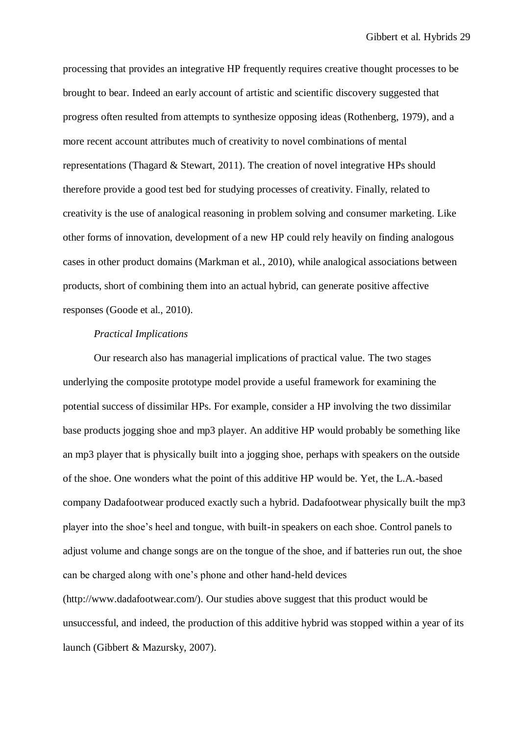processing that provides an integrative HP frequently requires creative thought processes to be brought to bear. Indeed an early account of artistic and scientific discovery suggested that progress often resulted from attempts to synthesize opposing ideas (Rothenberg, 1979), and a more recent account attributes much of creativity to novel combinations of mental representations (Thagard & Stewart, 2011). The creation of novel integrative HPs should therefore provide a good test bed for studying processes of creativity. Finally, related to creativity is the use of analogical reasoning in problem solving and consumer marketing. Like other forms of innovation, development of a new HP could rely heavily on finding analogous cases in other product domains (Markman et al., 2010), while analogical associations between products, short of combining them into an actual hybrid, can generate positive affective responses (Goode et al., 2010).

## *Practical Implications*

Our research also has managerial implications of practical value. The two stages underlying the composite prototype model provide a useful framework for examining the potential success of dissimilar HPs. For example, consider a HP involving the two dissimilar base products jogging shoe and mp3 player. An additive HP would probably be something like an mp3 player that is physically built into a jogging shoe, perhaps with speakers on the outside of the shoe. One wonders what the point of this additive HP would be. Yet, the L.A.-based company Dadafootwear produced exactly such a hybrid. Dadafootwear physically built the mp3 player into the shoe's heel and tongue, with built-in speakers on each shoe. Control panels to adjust volume and change songs are on the tongue of the shoe, and if batteries run out, the shoe can be charged along with one's phone and other hand-held devices

(http://www.dadafootwear.com/). Our studies above suggest that this product would be unsuccessful, and indeed, the production of this additive hybrid was stopped within a year of its launch (Gibbert & Mazursky, 2007).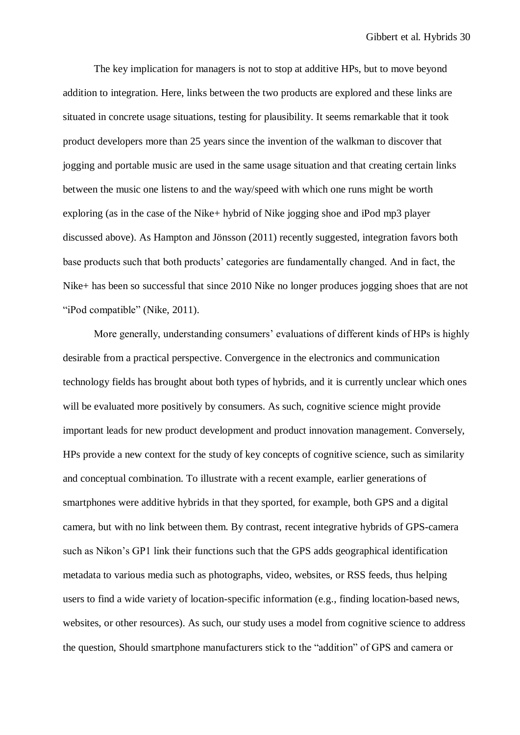The key implication for managers is not to stop at additive HPs, but to move beyond addition to integration. Here, links between the two products are explored and these links are situated in concrete usage situations, testing for plausibility. It seems remarkable that it took product developers more than 25 years since the invention of the walkman to discover that jogging and portable music are used in the same usage situation and that creating certain links between the music one listens to and the way/speed with which one runs might be worth exploring (as in the case of the Nike+ hybrid of Nike jogging shoe and iPod mp3 player discussed above). As Hampton and Jönsson (2011) recently suggested, integration favors both base products such that both products' categories are fundamentally changed. And in fact, the Nike+ has been so successful that since 2010 Nike no longer produces jogging shoes that are not "iPod compatible" (Nike, 2011).

More generally, understanding consumers' evaluations of different kinds of HPs is highly desirable from a practical perspective. Convergence in the electronics and communication technology fields has brought about both types of hybrids, and it is currently unclear which ones will be evaluated more positively by consumers. As such, cognitive science might provide important leads for new product development and product innovation management. Conversely, HPs provide a new context for the study of key concepts of cognitive science, such as similarity and conceptual combination. To illustrate with a recent example, earlier generations of smartphones were additive hybrids in that they sported, for example, both GPS and a digital camera, but with no link between them. By contrast, recent integrative hybrids of GPS-camera such as Nikon's GP1 link their functions such that the GPS adds geographical identification metadata to various media such as photographs, video, websites, or RSS feeds, thus helping users to find a wide variety of location-specific information (e.g., finding location-based news, websites, or other resources). As such, our study uses a model from cognitive science to address the question, Should smartphone manufacturers stick to the "addition" of GPS and camera or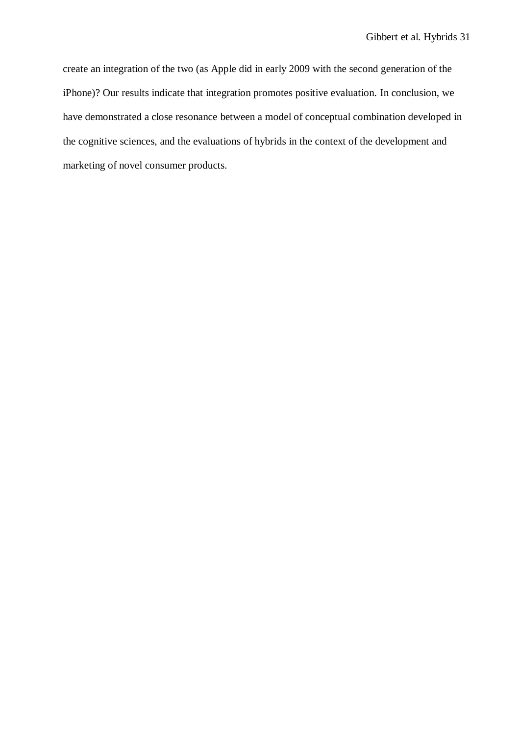create an integration of the two (as Apple did in early 2009 with the second generation of the iPhone)? Our results indicate that integration promotes positive evaluation. In conclusion, we have demonstrated a close resonance between a model of conceptual combination developed in the cognitive sciences, and the evaluations of hybrids in the context of the development and marketing of novel consumer products.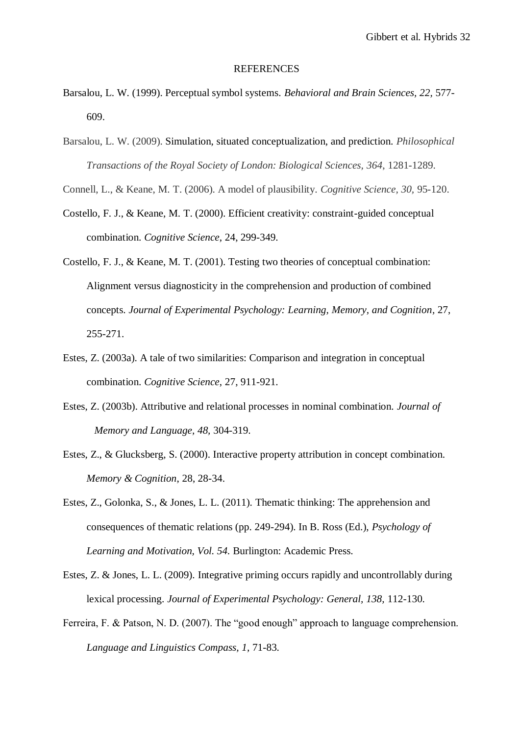#### REFERENCES

- Barsalou, L. W. (1999). Perceptual symbol systems. *Behavioral and Brain Sciences, 22,* 577- 609.
- Barsalou, L. W. (2009). Simulation, situated conceptualization, and prediction. *Philosophical Transactions of the Royal Society of London: Biological Sciences, 364*, 1281-1289.
- Connell, L., & Keane, M. T. (2006). A model of plausibility. *Cognitive Science, 30,* 95-120.
- Costello, F. J., & Keane, M. T. (2000). Efficient creativity: constraint-guided conceptual combination. *Cognitive Science*, 24, 299-349.
- Costello, F. J., & Keane, M. T. (2001). Testing two theories of conceptual combination: Alignment versus diagnosticity in the comprehension and production of combined concepts. *Journal of Experimental Psychology: Learning, Memory, and Cognition,* 27, 255-271.
- Estes, Z. (2003a). A tale of two similarities: Comparison and integration in conceptual combination. *Cognitive Science*, 27, 911-921.
- Estes, Z. (2003b). Attributive and relational processes in nominal combination. *Journal of Memory and Language, 48,* 304-319.
- Estes, Z., & Glucksberg, S. (2000). Interactive property attribution in concept combination. *Memory & Cognition*, 28, 28-34.
- Estes, Z., Golonka, S., & Jones, L. L. (2011). Thematic thinking: The apprehension and consequences of thematic relations (pp. 249-294). In B. Ross (Ed.), *Psychology of Learning and Motivation, Vol. 54.* Burlington: Academic Press.
- Estes, Z. & Jones, L. L. (2009). Integrative priming occurs rapidly and uncontrollably during lexical processing. *Journal of Experimental Psychology: General, 138,* 112-130.
- Ferreira, F. & Patson, N. D. (2007). The "good enough" approach to language comprehension. *Language and Linguistics Compass, 1,* 71-83.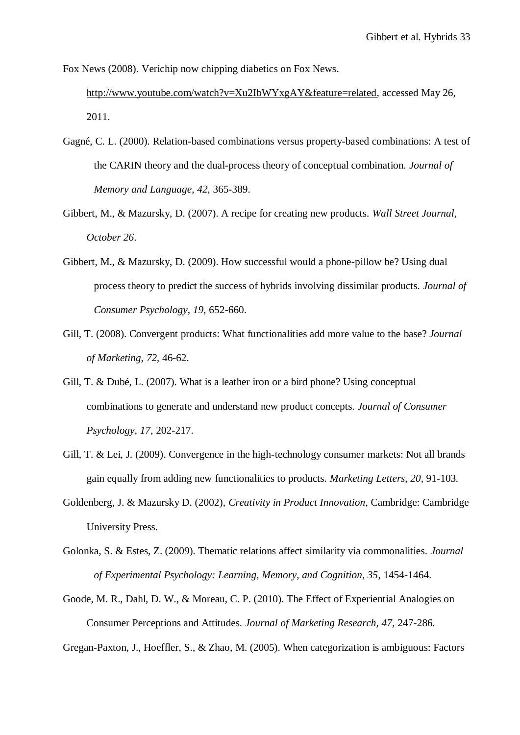Fox News (2008). Verichip now chipping diabetics on Fox News.

[http://www.youtube.com/watch?v=Xu2IbWYxgAY&feature=related,](http://www.youtube.com/watch?v=Xu2IbWYxgAY&feature=related) accessed May 26, 2011.

- Gagné, C. L. (2000). Relation-based combinations versus property-based combinations: A test of the CARIN theory and the dual-process theory of conceptual combination. *Journal of Memory and Language, 42*, 365-389.
- Gibbert, M., & Mazursky, D. (2007). A recipe for creating new products. *Wall Street Journal, October 26*.
- Gibbert, M., & Mazursky, D. (2009). How successful would a phone-pillow be? Using dual process theory to predict the success of hybrids involving dissimilar products. *Journal of Consumer Psychology, 19,* 652-660.
- Gill, T. (2008). Convergent products: What functionalities add more value to the base? *Journal of Marketing*, *72,* 46-62.
- Gill, T. & Dubé, L. (2007). What is a leather iron or a bird phone? Using conceptual combinations to generate and understand new product concepts. *Journal of Consumer Psychology*, *17,* 202-217.
- Gill, T. & Lei, J. (2009). Convergence in the high-technology consumer markets: Not all brands gain equally from adding new functionalities to products. *Marketing Letters, 20,* 91-103.
- Goldenberg, J. & Mazursky D. (2002), *Creativity in Product Innovation*, Cambridge: Cambridge University Press.
- Golonka, S. & Estes, Z. (2009). Thematic relations affect similarity via commonalities. *Journal of Experimental Psychology: Learning, Memory, and Cognition, 35*, 1454-1464.
- Goode, M. R., Dahl, D. W., & Moreau, C. P. (2010). The Effect of Experiential Analogies on Consumer Perceptions and Attitudes. *Journal of Marketing Research, 47,* 247-286.

Gregan-Paxton, J., Hoeffler, S., & Zhao, M. (2005). When categorization is ambiguous: Factors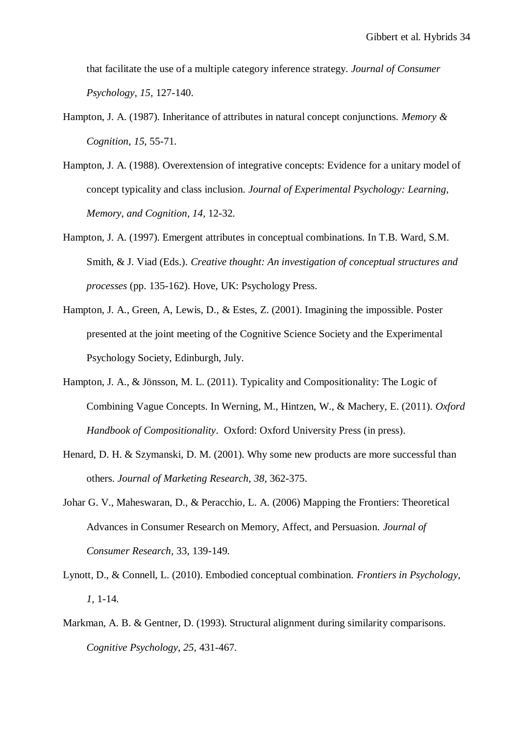that facilitate the use of a multiple category inference strategy. *Journal of Consumer Psychology, 15,* 127-140.

- Hampton, J. A. (1987). Inheritance of attributes in natural concept conjunctions. *Memory & Cognition*, *15*, 55-71.
- Hampton, J. A. (1988). Overextension of integrative concepts: Evidence for a unitary model of concept typicality and class inclusion. *Journal of Experimental Psychology: Learning, Memory, and Cognition, 14,* 12-32.
- Hampton, J. A. (1997). Emergent attributes in conceptual combinations. In T.B. Ward, S.M. Smith, & J. Viad (Eds.). *Creative thought: An investigation of conceptual structures and processes* (pp. 135-162). Hove, UK: Psychology Press.
- Hampton, J. A., Green, A, Lewis, D., & Estes, Z. (2001). Imagining the impossible. Poster presented at the joint meeting of the Cognitive Science Society and the Experimental Psychology Society, Edinburgh, July.
- Hampton, J. A., & Jönsson, M. L. (2011). Typicality and Compositionality: The Logic of Combining Vague Concepts. In Werning, M., Hintzen, W., & Machery, E. (2011). *Oxford Handbook of Compositionality*. Oxford: Oxford University Press (in press).
- Henard, D. H. & Szymanski, D. M. (2001). Why some new products are more successful than others. *Journal of Marketing Research, 38,* 362-375.
- Johar G. V., Maheswaran, D., & Peracchio, L. A. (2006) Mapping the Frontiers: Theoretical Advances in Consumer Research on Memory, Affect, and Persuasion. *Journal of Consumer Research,* 33, 139-149.
- Lynott, D., & Connell, L. (2010). Embodied conceptual combination. *Frontiers in Psychology, 1,* 1-14.
- Markman, A. B. & Gentner, D. (1993). Structural alignment during similarity comparisons. *Cognitive Psychology, 25,* 431-467.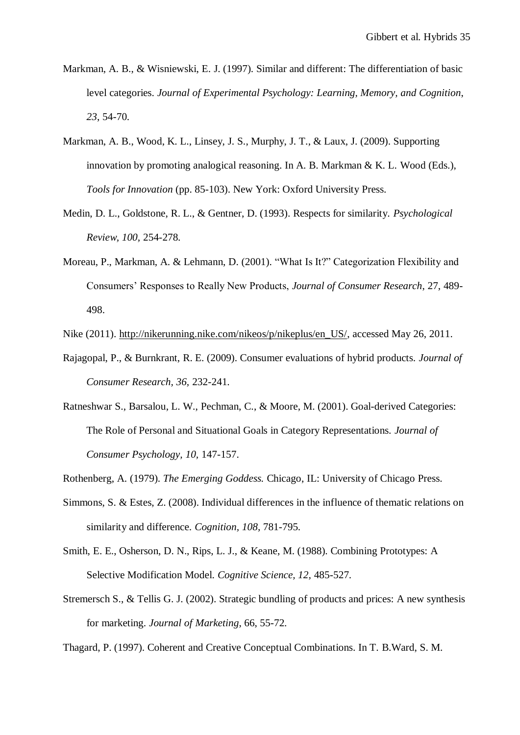- Markman, A. B., & Wisniewski, E. J. (1997). Similar and different: The differentiation of basic level categories. *Journal of Experimental Psychology: Learning, Memory, and Cognition*, *23*, 54-70.
- Markman, A. B., Wood, K. L., Linsey, J. S., Murphy, J. T., & Laux, J. (2009). Supporting innovation by promoting analogical reasoning. In A. B. Markman & K. L. Wood (Eds.), *Tools for Innovation* (pp. 85-103). New York: Oxford University Press.
- Medin, D. L., Goldstone, R. L., & Gentner, D. (1993). Respects for similarity. *Psychological Review, 100,* 254-278.
- Moreau, P., Markman, A. & Lehmann, D. (2001). "What Is It?" Categorization Flexibility and Consumers' Responses to Really New Products, *Journal of Consumer Research*, 27, 489- 498.

Nike (2011). [http://nikerunning.nike.com/nikeos/p/nikeplus/en\\_US/,](http://nikerunning.nike.com/nikeos/p/nikeplus/en_US/) accessed May 26, 2011.

- Rajagopal, P., & Burnkrant, R. E. (2009). Consumer evaluations of hybrid products. *Journal of Consumer Research, 36,* 232-241.
- Ratneshwar S., Barsalou, L. W., Pechman, C., & Moore, M. (2001). Goal-derived Categories: The Role of Personal and Situational Goals in Category Representations. *Journal of Consumer Psychology, 10,* 147-157.

Rothenberg, A. (1979). *The Emerging Goddess.* Chicago, IL: University of Chicago Press.

- Simmons, S. & Estes, Z. (2008). Individual differences in the influence of thematic relations on similarity and difference. *Cognition, 108,* 781-795.
- Smith, E. E., Osherson, D. N., Rips, L. J., & Keane, M. (1988). Combining Prototypes: A Selective Modification Model. *Cognitive Science, 12,* 485-527.
- Stremersch S., & Tellis G. J. (2002). Strategic bundling of products and prices: A new synthesis for marketing. *Journal of Marketing*, 66, 55-72.

Thagard, P. (1997). Coherent and Creative Conceptual Combinations. In T. B.Ward, S. M.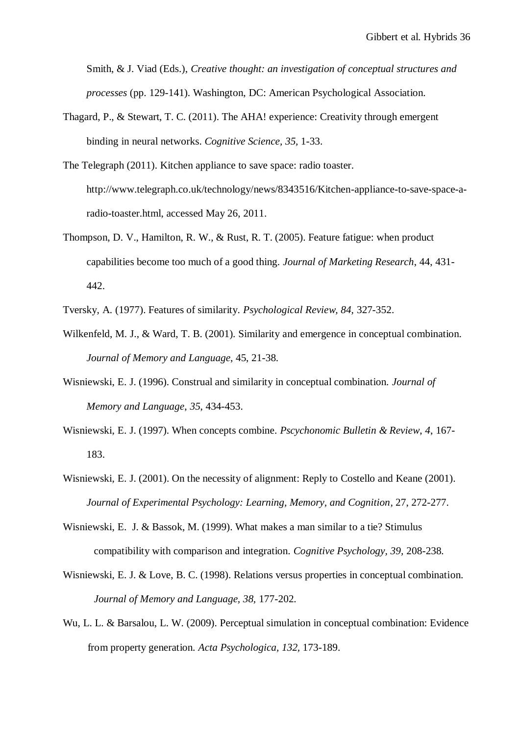Smith, & J. Viad (Eds.), *Creative thought: an investigation of conceptual structures and processes* (pp. 129-141). Washington, DC: American Psychological Association.

- Thagard, P., & Stewart, T. C. (2011). The AHA! experience: Creativity through emergent binding in neural networks. *Cognitive Science, 35,* 1-33.
- The Telegraph (2011). Kitchen appliance to save space: radio toaster. http://www.telegraph.co.uk/technology/news/8343516/Kitchen-appliance-to-save-space-aradio-toaster.html, accessed May 26, 2011.
- Thompson, D. V., Hamilton, R. W., & Rust, R. T. (2005). Feature fatigue: when product capabilities become too much of a good thing*. Journal of Marketing Research*, 44, 431- 442.
- Tversky, A. (1977). Features of similarity. *Psychological Review, 84,* 327-352.
- Wilkenfeld, M. J., & Ward, T. B. (2001). Similarity and emergence in conceptual combination. *Journal of Memory and Language*, 45, 21-38.
- Wisniewski, E. J. (1996). Construal and similarity in conceptual combination. *Journal of Memory and Language*, *35*, 434-453.
- Wisniewski, E. J. (1997). When concepts combine. *Pscychonomic Bulletin & Review*, *4*, 167- 183.
- Wisniewski, E. J. (2001). On the necessity of alignment: Reply to Costello and Keane (2001). *Journal of Experimental Psychology: Learning, Memory, and Cognition,* 27, 272-277.
- Wisniewski, E. J. & Bassok, M. (1999). What makes a man similar to a tie? Stimulus compatibility with comparison and integration*. Cognitive Psychology, 39,* 208-238.
- Wisniewski, E. J. & Love, B. C. (1998). Relations versus properties in conceptual combination. *Journal of Memory and Language, 38,* 177-202.
- Wu, L. L. & Barsalou, L. W. (2009). Perceptual simulation in conceptual combination: Evidence from property generation. *Acta Psychologica, 132,* 173-189.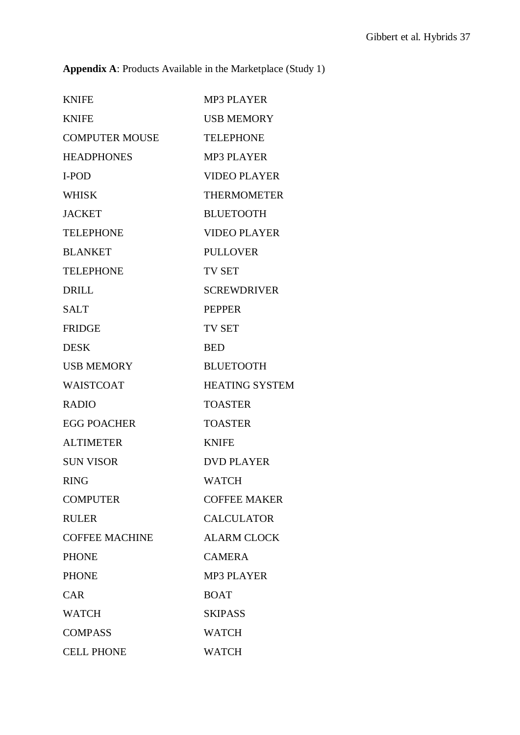**Appendix A**: Products Available in the Marketplace (Study 1)

| <b>KNIFE</b>          | <b>MP3 PLAYER</b>     |
|-----------------------|-----------------------|
| <b>KNIFE</b>          | <b>USB MEMORY</b>     |
| <b>COMPUTER MOUSE</b> | <b>TELEPHONE</b>      |
| <b>HEADPHONES</b>     | <b>MP3 PLAYER</b>     |
| I-POD                 | <b>VIDEO PLAYER</b>   |
| <b>WHISK</b>          | <b>THERMOMETER</b>    |
| <b>JACKET</b>         | <b>BLUETOOTH</b>      |
| <b>TELEPHONE</b>      | <b>VIDEO PLAYER</b>   |
| <b>BLANKET</b>        | <b>PULLOVER</b>       |
| <b>TELEPHONE</b>      | <b>TV SET</b>         |
| <b>DRILL</b>          | <b>SCREWDRIVER</b>    |
| <b>SALT</b>           | <b>PEPPER</b>         |
| <b>FRIDGE</b>         | <b>TV SET</b>         |
| <b>DESK</b>           | <b>BED</b>            |
| <b>USB MEMORY</b>     | <b>BLUETOOTH</b>      |
| <b>WAISTCOAT</b>      | <b>HEATING SYSTEM</b> |
| <b>RADIO</b>          | <b>TOASTER</b>        |
| <b>EGG POACHER</b>    | <b>TOASTER</b>        |
| <b>ALTIMETER</b>      | <b>KNIFE</b>          |
| <b>SUN VISOR</b>      | <b>DVD PLAYER</b>     |
| <b>RING</b>           | <b>WATCH</b>          |
| <b>COMPUTER</b>       | <b>COFFEE MAKER</b>   |
| <b>RULER</b>          | <b>CALCULATOR</b>     |
| <b>COFFEE MACHINE</b> | <b>ALARM CLOCK</b>    |
| <b>PHONE</b>          | <b>CAMERA</b>         |
| <b>PHONE</b>          | <b>MP3 PLAYER</b>     |
| <b>CAR</b>            | <b>BOAT</b>           |
| <b>WATCH</b>          | <b>SKIPASS</b>        |
| <b>COMPASS</b>        | <b>WATCH</b>          |
| <b>CELL PHONE</b>     | <b>WATCH</b>          |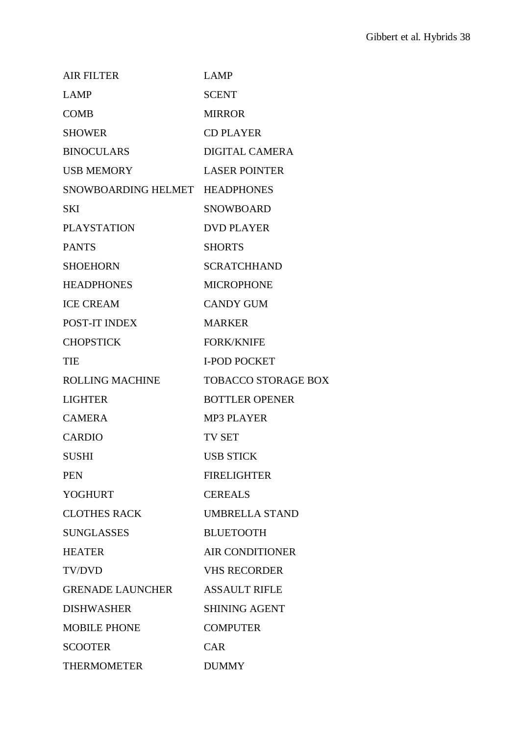| <b>AIR FILTER</b>              | <b>LAMP</b>                |
|--------------------------------|----------------------------|
| <b>LAMP</b>                    | <b>SCENT</b>               |
| <b>COMB</b>                    | <b>MIRROR</b>              |
| <b>SHOWER</b>                  | <b>CD PLAYER</b>           |
| <b>BINOCULARS</b>              | <b>DIGITAL CAMERA</b>      |
| <b>USB MEMORY</b>              | <b>LASER POINTER</b>       |
| SNOWBOARDING HELMET HEADPHONES |                            |
| <b>SKI</b>                     | <b>SNOWBOARD</b>           |
| <b>PLAYSTATION</b>             | <b>DVD PLAYER</b>          |
| <b>PANTS</b>                   | <b>SHORTS</b>              |
| <b>SHOEHORN</b>                | <b>SCRATCHHAND</b>         |
| <b>HEADPHONES</b>              | <b>MICROPHONE</b>          |
| <b>ICE CREAM</b>               | <b>CANDY GUM</b>           |
| POST-IT INDEX                  | <b>MARKER</b>              |
| <b>CHOPSTICK</b>               | <b>FORK/KNIFE</b>          |
| <b>TIE</b>                     | <b>I-POD POCKET</b>        |
| <b>ROLLING MACHINE</b>         | <b>TOBACCO STORAGE BOX</b> |
| <b>LIGHTER</b>                 | <b>BOTTLER OPENER</b>      |
| <b>CAMERA</b>                  | <b>MP3 PLAYER</b>          |
| <b>CARDIO</b>                  | <b>TV SET</b>              |
| <b>SUSHI</b>                   | <b>USB STICK</b>           |
| <b>PEN</b>                     | <b>FIRELIGHTER</b>         |
| <b>YOGHURT</b>                 | <b>CEREALS</b>             |
| <b>CLOTHES RACK</b>            | <b>UMBRELLA STAND</b>      |
| <b>SUNGLASSES</b>              | <b>BLUETOOTH</b>           |
| <b>HEATER</b>                  | <b>AIR CONDITIONER</b>     |
| <b>TV/DVD</b>                  | <b>VHS RECORDER</b>        |
| <b>GRENADE LAUNCHER</b>        | <b>ASSAULT RIFLE</b>       |
| <b>DISHWASHER</b>              | <b>SHINING AGENT</b>       |
| <b>MOBILE PHONE</b>            | <b>COMPUTER</b>            |
| <b>SCOOTER</b>                 | <b>CAR</b>                 |
| <b>THERMOMETER</b>             | <b>DUMMY</b>               |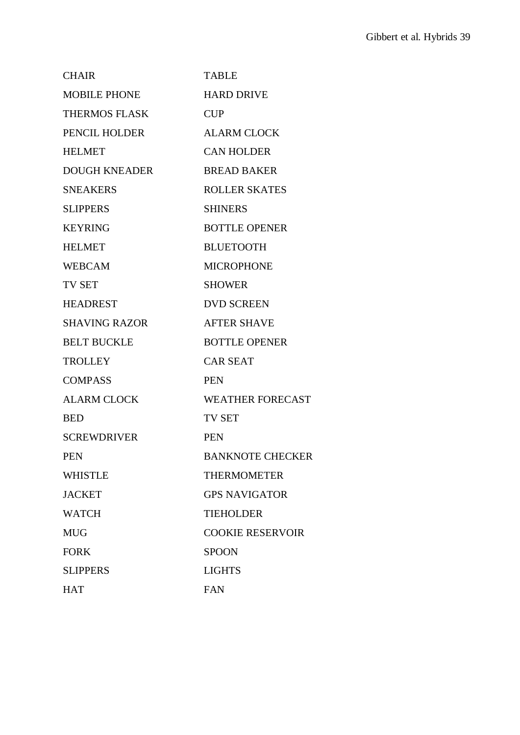| <b>CHAIR</b>         | <b>TABLE</b>            |
|----------------------|-------------------------|
| <b>MOBILE PHONE</b>  | <b>HARD DRIVE</b>       |
| <b>THERMOS FLASK</b> | <b>CUP</b>              |
| PENCIL HOLDER        | <b>ALARM CLOCK</b>      |
| <b>HELMET</b>        | <b>CAN HOLDER</b>       |
| <b>DOUGH KNEADER</b> | <b>BREAD BAKER</b>      |
| <b>SNEAKERS</b>      | <b>ROLLER SKATES</b>    |
| <b>SLIPPERS</b>      | <b>SHINERS</b>          |
| <b>KEYRING</b>       | <b>BOTTLE OPENER</b>    |
| <b>HELMET</b>        | <b>BLUETOOTH</b>        |
| <b>WEBCAM</b>        | <b>MICROPHONE</b>       |
| <b>TV SET</b>        | <b>SHOWER</b>           |
| <b>HEADREST</b>      | <b>DVD SCREEN</b>       |
| <b>SHAVING RAZOR</b> | <b>AFTER SHAVE</b>      |
| <b>BELT BUCKLE</b>   | <b>BOTTLE OPENER</b>    |
| <b>TROLLEY</b>       | <b>CAR SEAT</b>         |
| <b>COMPASS</b>       | <b>PEN</b>              |
| <b>ALARM CLOCK</b>   | <b>WEATHER FORECAST</b> |
| <b>BED</b>           | <b>TV SET</b>           |
| <b>SCREWDRIVER</b>   | <b>PEN</b>              |
| <b>PEN</b>           | <b>BANKNOTE CHECKER</b> |
| <b>WHISTLE</b>       | <b>THERMOMETER</b>      |
| <b>JACKET</b>        | <b>GPS NAVIGATOR</b>    |
| <b>WATCH</b>         | <b>TIEHOLDER</b>        |
| <b>MUG</b>           | <b>COOKIE RESERVOIR</b> |
| <b>FORK</b>          | <b>SPOON</b>            |
| <b>SLIPPERS</b>      | <b>LIGHTS</b>           |
| <b>HAT</b>           | <b>FAN</b>              |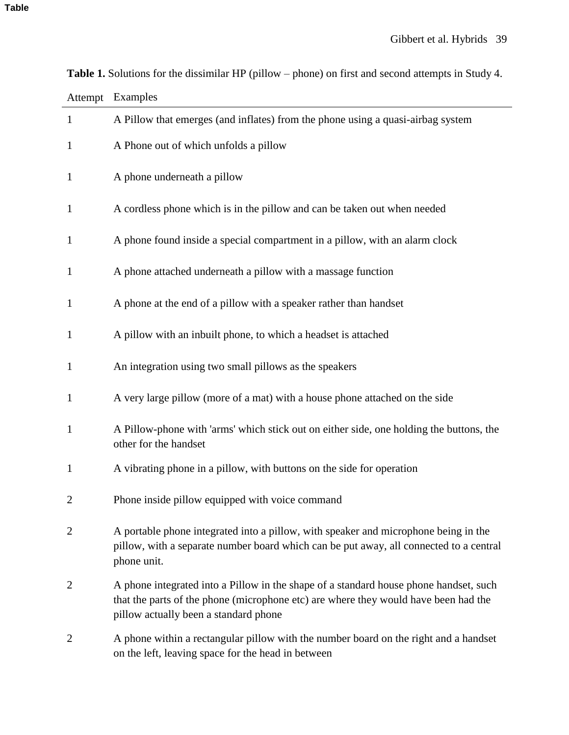| Attempt        | Examples                                                                                                                                                                                                              |
|----------------|-----------------------------------------------------------------------------------------------------------------------------------------------------------------------------------------------------------------------|
| $\mathbf{1}$   | A Pillow that emerges (and inflates) from the phone using a quasi-airbag system                                                                                                                                       |
| 1              | A Phone out of which unfolds a pillow                                                                                                                                                                                 |
| $\mathbf 1$    | A phone underneath a pillow                                                                                                                                                                                           |
| $\mathbf{1}$   | A cordless phone which is in the pillow and can be taken out when needed                                                                                                                                              |
| $\mathbf{1}$   | A phone found inside a special compartment in a pillow, with an alarm clock                                                                                                                                           |
| $\mathbf{1}$   | A phone attached underneath a pillow with a massage function                                                                                                                                                          |
| $\mathbf{1}$   | A phone at the end of a pillow with a speaker rather than handset                                                                                                                                                     |
| $\mathbf{1}$   | A pillow with an inbuilt phone, to which a headset is attached                                                                                                                                                        |
| 1              | An integration using two small pillows as the speakers                                                                                                                                                                |
| $\mathbf{1}$   | A very large pillow (more of a mat) with a house phone attached on the side                                                                                                                                           |
| $\mathbf{1}$   | A Pillow-phone with 'arms' which stick out on either side, one holding the buttons, the<br>other for the handset                                                                                                      |
| $\mathbf{1}$   | A vibrating phone in a pillow, with buttons on the side for operation                                                                                                                                                 |
| 2              | Phone inside pillow equipped with voice command                                                                                                                                                                       |
| $\overline{2}$ | A portable phone integrated into a pillow, with speaker and microphone being in the<br>pillow, with a separate number board which can be put away, all connected to a central<br>phone unit.                          |
| $\overline{2}$ | A phone integrated into a Pillow in the shape of a standard house phone handset, such<br>that the parts of the phone (microphone etc) are where they would have been had the<br>pillow actually been a standard phone |
| $\overline{2}$ | A phone within a rectangular pillow with the number board on the right and a handset<br>on the left, leaving space for the head in between                                                                            |

**Table 1.** Solutions for the dissimilar HP (pillow – phone) on first and second attempts in Study 4.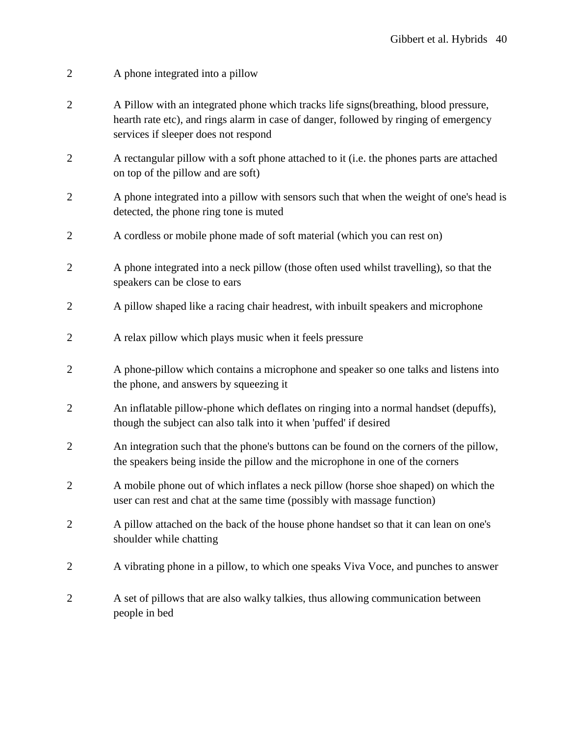- 2 A phone integrated into a pillow
- 2 A Pillow with an integrated phone which tracks life signs(breathing, blood pressure, hearth rate etc), and rings alarm in case of danger, followed by ringing of emergency services if sleeper does not respond
- 2 A rectangular pillow with a soft phone attached to it (i.e. the phones parts are attached on top of the pillow and are soft)
- 2 A phone integrated into a pillow with sensors such that when the weight of one's head is detected, the phone ring tone is muted
- 2 A cordless or mobile phone made of soft material (which you can rest on)
- 2 A phone integrated into a neck pillow (those often used whilst travelling), so that the speakers can be close to ears
- 2 A pillow shaped like a racing chair headrest, with inbuilt speakers and microphone
- 2 A relax pillow which plays music when it feels pressure
- 2 A phone-pillow which contains a microphone and speaker so one talks and listens into the phone, and answers by squeezing it
- 2 An inflatable pillow-phone which deflates on ringing into a normal handset (depuffs), though the subject can also talk into it when 'puffed' if desired
- 2 An integration such that the phone's buttons can be found on the corners of the pillow, the speakers being inside the pillow and the microphone in one of the corners
- 2 A mobile phone out of which inflates a neck pillow (horse shoe shaped) on which the user can rest and chat at the same time (possibly with massage function)
- 2 A pillow attached on the back of the house phone handset so that it can lean on one's shoulder while chatting
- 2 A vibrating phone in a pillow, to which one speaks Viva Voce, and punches to answer
- 2 A set of pillows that are also walky talkies, thus allowing communication between people in bed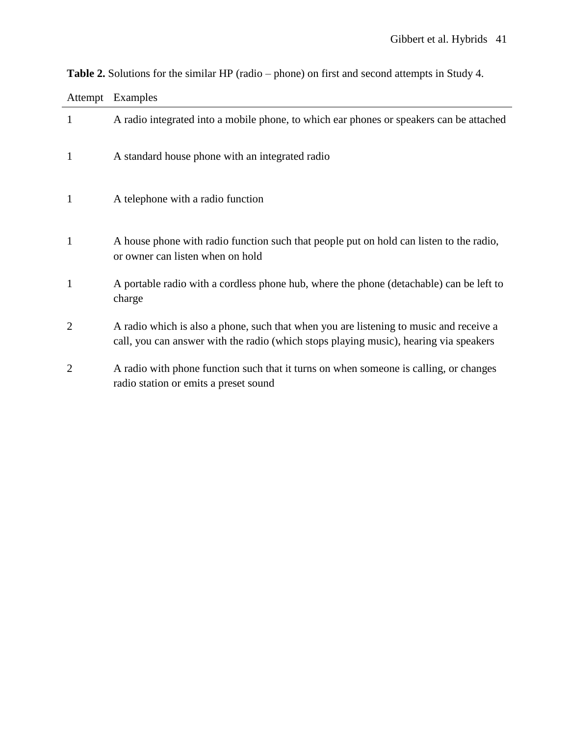| Attempt | Examples                                                                                                                                                                        |
|---------|---------------------------------------------------------------------------------------------------------------------------------------------------------------------------------|
| 1       | A radio integrated into a mobile phone, to which ear phones or speakers can be attached                                                                                         |
| 1       | A standard house phone with an integrated radio                                                                                                                                 |
| 1       | A telephone with a radio function                                                                                                                                               |
| 1       | A house phone with radio function such that people put on hold can listen to the radio,<br>or owner can listen when on hold                                                     |
| 1       | A portable radio with a cordless phone hub, where the phone (detachable) can be left to<br>charge                                                                               |
| 2       | A radio which is also a phone, such that when you are listening to music and receive a<br>call, you can answer with the radio (which stops playing music), hearing via speakers |
| 2       | A radio with phone function such that it turns on when someone is calling, or changes<br>radio station or emits a preset sound                                                  |

**Table 2.** Solutions for the similar HP (radio – phone) on first and second attempts in Study 4.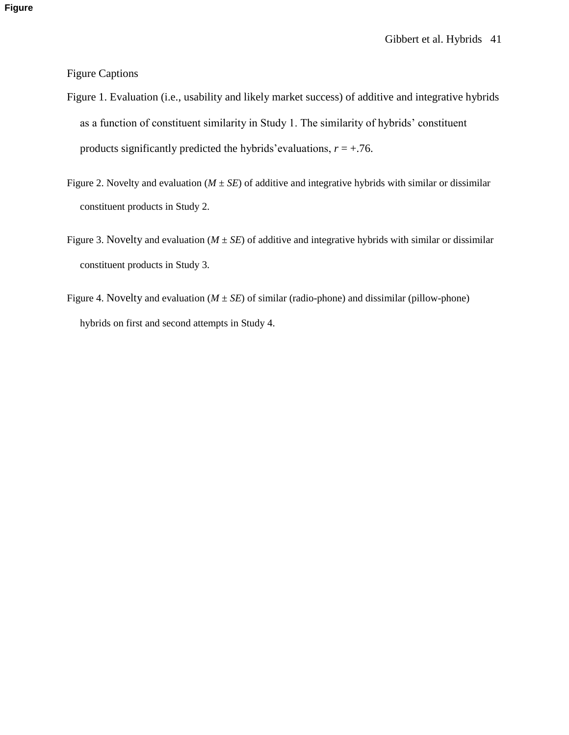Figure Captions

- Figure 1. Evaluation (i.e., usability and likely market success) of additive and integrative hybrids as a function of constituent similarity in Study 1. The similarity of hybrids' constituent products significantly predicted the hybrids' evaluations,  $r = +0.76$ .
- Figure 2. Novelty and evaluation ( $M \pm SE$ ) of additive and integrative hybrids with similar or dissimilar constituent products in Study 2.
- Figure 3. Novelty and evaluation ( $M \pm SE$ ) of additive and integrative hybrids with similar or dissimilar constituent products in Study 3.
- Figure 4. Novelty and evaluation  $(M \pm SE)$  of similar (radio-phone) and dissimilar (pillow-phone) hybrids on first and second attempts in Study 4.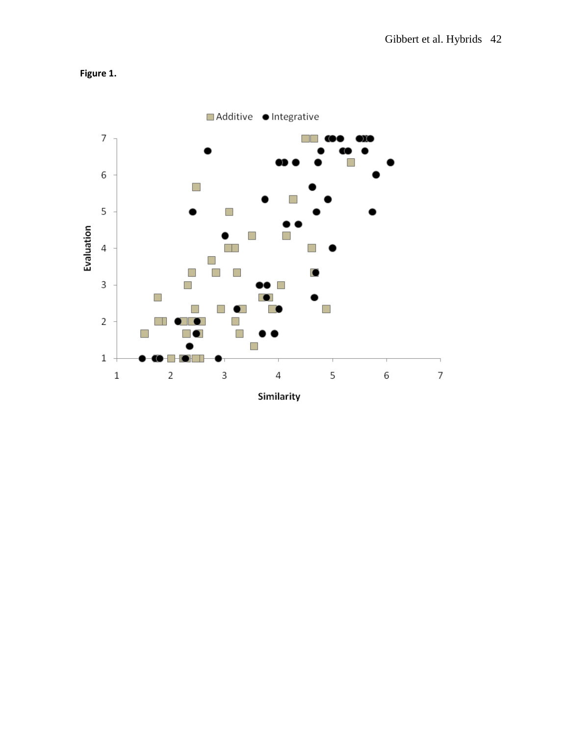

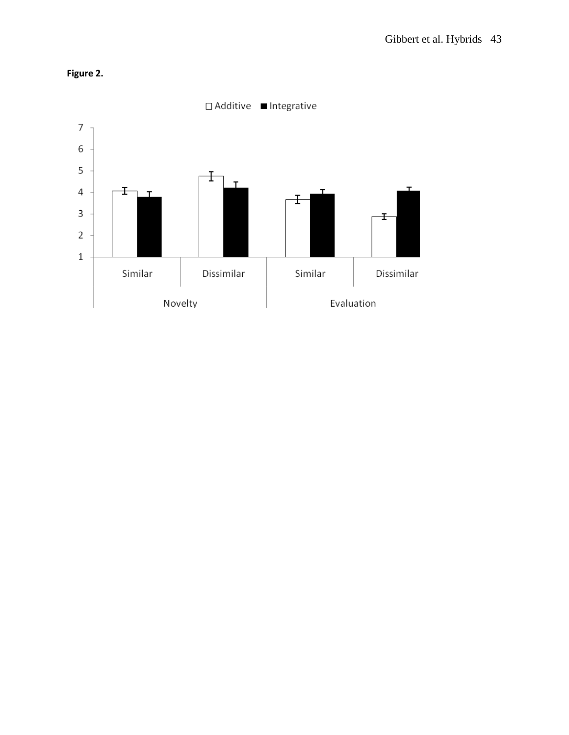

## **Figure 2.**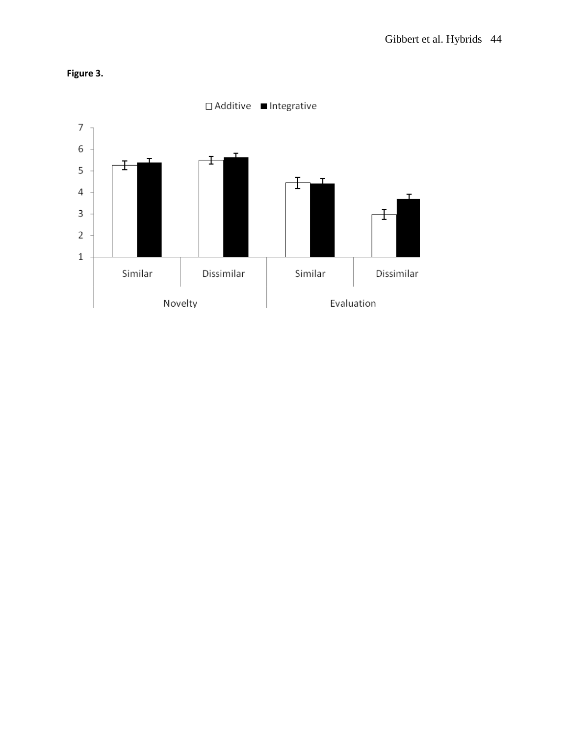

**Figure 3.**